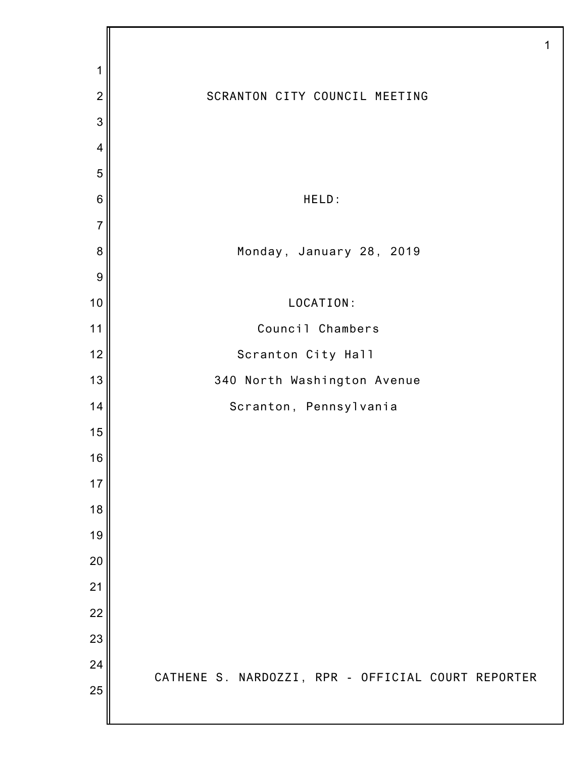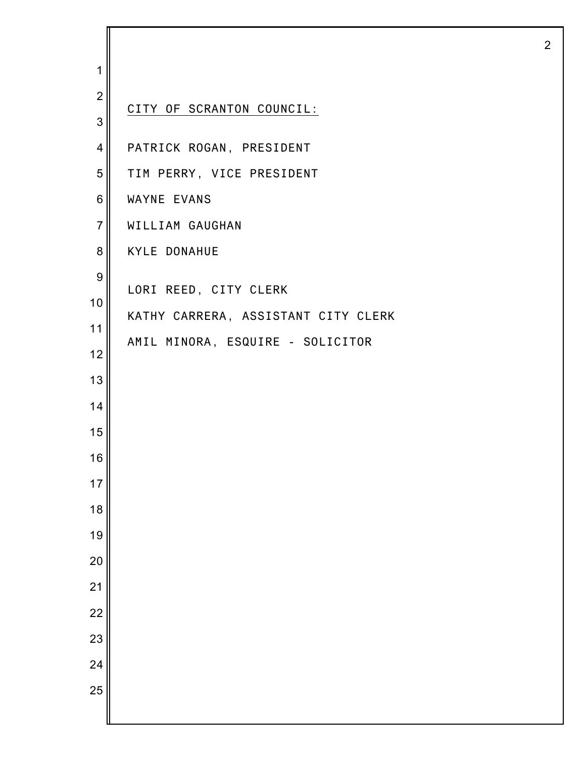| 1                |                                     |
|------------------|-------------------------------------|
| $\overline{2}$   |                                     |
| 3                | CITY OF SCRANTON COUNCIL:           |
| $\overline{4}$   | PATRICK ROGAN, PRESIDENT            |
| 5                | TIM PERRY, VICE PRESIDENT           |
| $\,6$            | WAYNE EVANS                         |
| $\overline{7}$   | WILLIAM GAUGHAN                     |
| 8                | <b>KYLE DONAHUE</b>                 |
| $\boldsymbol{9}$ | LORI REED, CITY CLERK               |
| 10               | KATHY CARRERA, ASSISTANT CITY CLERK |
| 11               | AMIL MINORA, ESQUIRE - SOLICITOR    |
| 12               |                                     |
| 13               |                                     |
| 14               |                                     |
| 15               |                                     |
| 16<br>17         |                                     |
| 18               |                                     |
| 19               |                                     |
| 20               |                                     |
| 21               |                                     |
| 22               |                                     |
| 23               |                                     |
| 24               |                                     |
| 25               |                                     |
|                  |                                     |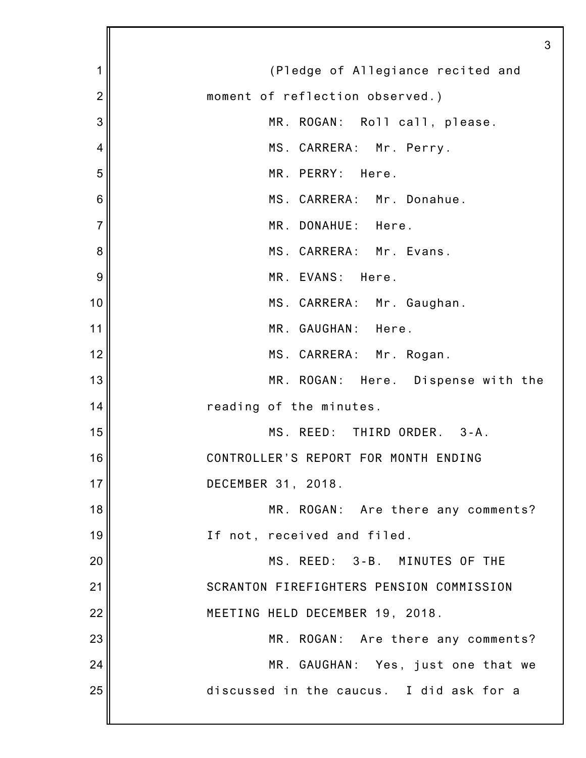|                | 3                                        |
|----------------|------------------------------------------|
| 1              | (Pledge of Allegiance recited and        |
| $\overline{2}$ | moment of reflection observed.)          |
| 3              | MR. ROGAN: Roll call, please.            |
| 4              | MS. CARRERA: Mr. Perry.                  |
| 5              | MR. PERRY:<br>Here.                      |
| 6              | MS. CARRERA: Mr. Donahue.                |
| $\overline{7}$ | MR. DONAHUE: Here.                       |
| 8              | MS. CARRERA: Mr. Evans.                  |
| 9              | MR. EVANS: Here.                         |
| 10             | MS. CARRERA: Mr. Gaughan.                |
| 11             | MR. GAUGHAN: Here.                       |
| 12             | MS. CARRERA: Mr. Rogan.                  |
| 13             | MR. ROGAN: Here. Dispense with the       |
| 14             | reading of the minutes.                  |
| 15             | MS. REED: THIRD ORDER.<br>$3 - A$ .      |
| 16             | CONTROLLER'S REPORT FOR MONTH ENDING     |
| 17             | DECEMBER 31, 2018.                       |
| 18             | MR. ROGAN: Are there any comments?       |
| 19             | If not, received and filed.              |
| 20             | MS. REED: 3-B. MINUTES OF THE            |
| 21             | SCRANTON FIREFIGHTERS PENSION COMMISSION |
| 22             | MEETING HELD DECEMBER 19, 2018.          |
| 23             | MR. ROGAN: Are there any comments?       |
| 24             | MR. GAUGHAN: Yes, just one that we       |
| 25             | discussed in the caucus. I did ask for a |
|                |                                          |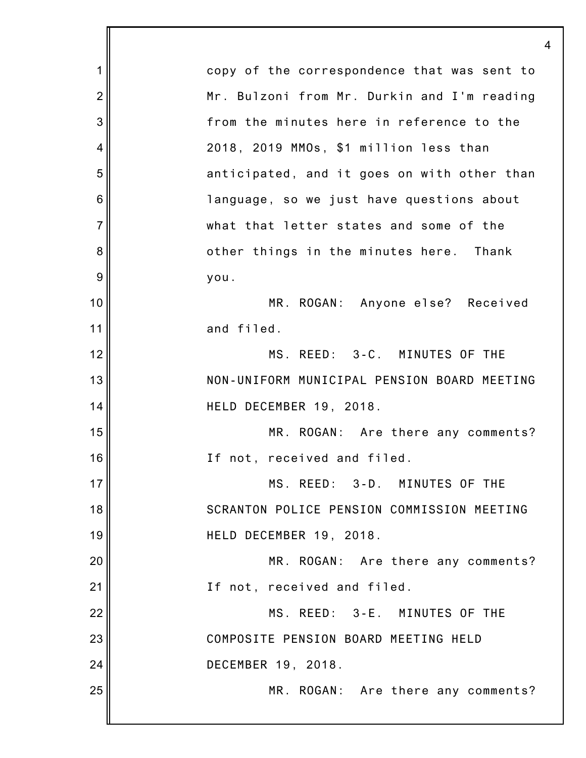| 1              | copy of the correspondence that was sent to |
|----------------|---------------------------------------------|
| $\overline{2}$ | Mr. Bulzoni from Mr. Durkin and I'm reading |
| 3              | from the minutes here in reference to the   |
| 4              | 2018, 2019 MMOs, \$1 million less than      |
| 5              | anticipated, and it goes on with other than |
| 6              | language, so we just have questions about   |
| $\overline{7}$ | what that letter states and some of the     |
| 8              | other things in the minutes here. Thank     |
| 9              | you.                                        |
| 10             | MR. ROGAN: Anyone else? Received            |
| 11             | and filed.                                  |
| 12             | MS. REED: 3-C. MINUTES OF THE               |
| 13             | NON-UNIFORM MUNICIPAL PENSION BOARD MEETING |
| 14             | HELD DECEMBER 19, 2018.                     |
| 15             | MR. ROGAN: Are there any comments?          |
| 16             | If not, received and filed.                 |
| 17             | MS. REED: 3-D. MINUTES OF THE               |
| 18             | SCRANTON POLICE PENSION COMMISSION MEETING  |
| 19             | HELD DECEMBER 19, 2018.                     |
| 20             | MR. ROGAN: Are there any comments?          |
| 21             | If not, received and filed.                 |
| 22             | MS. REED: 3-E. MINUTES OF THE               |
| 23             | COMPOSITE PENSION BOARD MEETING HELD        |
| 24             | DECEMBER 19, 2018.                          |
| 25             | MR. ROGAN: Are there any comments?          |
|                |                                             |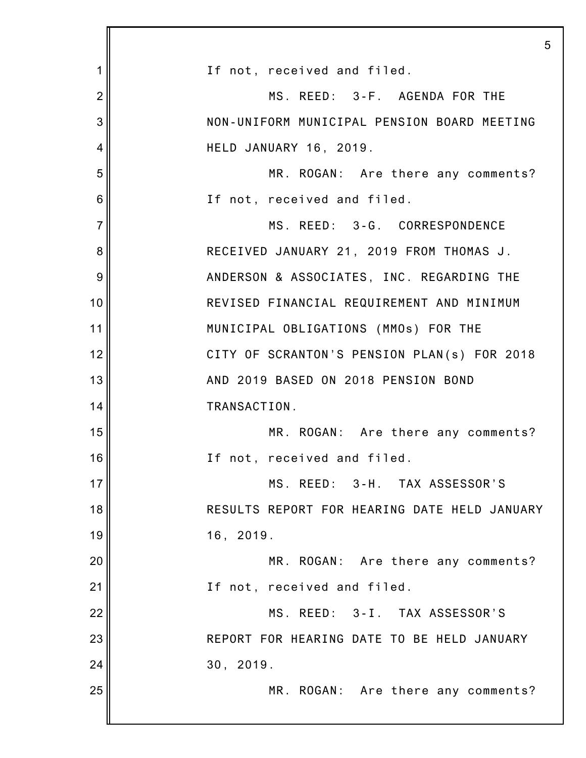|                | 5                                            |
|----------------|----------------------------------------------|
| 1              | If not, received and filed.                  |
| $\overline{2}$ | MS. REED: 3-F. AGENDA FOR THE                |
| 3              | NON-UNIFORM MUNICIPAL PENSION BOARD MEETING  |
| 4              | HELD JANUARY 16, 2019.                       |
| 5              | MR. ROGAN: Are there any comments?           |
| 6              | If not, received and filed.                  |
| $\overline{7}$ | MS. REED: 3-G. CORRESPONDENCE                |
| 8              | RECEIVED JANUARY 21, 2019 FROM THOMAS J.     |
| 9              | ANDERSON & ASSOCIATES, INC. REGARDING THE    |
| 10             | REVISED FINANCIAL REQUIREMENT AND MINIMUM    |
| 11             | MUNICIPAL OBLIGATIONS (MMOs) FOR THE         |
| 12             | CITY OF SCRANTON'S PENSION PLAN(s) FOR 2018  |
| 13             | AND 2019 BASED ON 2018 PENSION BOND          |
| 14             | TRANSACTION.                                 |
| 15             | MR. ROGAN: Are there any comments?           |
| 16             | If not, received and filed.                  |
| 17             | MS. REED: 3-H. TAX ASSESSOR'S                |
| 18             | RESULTS REPORT FOR HEARING DATE HELD JANUARY |
| 19             | 16, 2019.                                    |
| 20             | MR. ROGAN: Are there any comments?           |
| 21             | If not, received and filed.                  |
| 22             | MS. REED: 3-I. TAX ASSESSOR'S                |
| 23             | REPORT FOR HEARING DATE TO BE HELD JANUARY   |
| 24             | 30, 2019.                                    |
| 25             | MR. ROGAN: Are there any comments?           |
|                |                                              |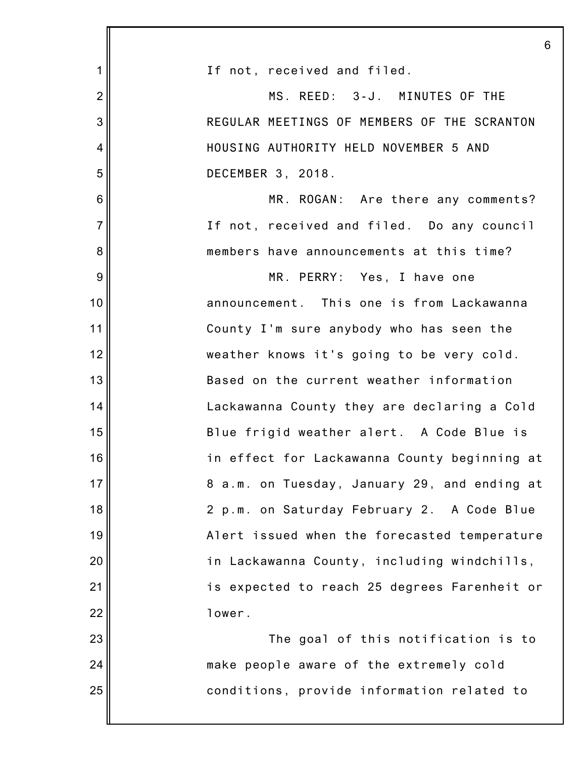|                | 6                                            |
|----------------|----------------------------------------------|
| 1              | If not, received and filed.                  |
| $\overline{2}$ | MS. REED: 3-J. MINUTES OF THE                |
| 3              | REGULAR MEETINGS OF MEMBERS OF THE SCRANTON  |
| 4              | HOUSING AUTHORITY HELD NOVEMBER 5 AND        |
| 5              | DECEMBER 3, 2018.                            |
| $6\phantom{1}$ | MR. ROGAN: Are there any comments?           |
| $\overline{7}$ | If not, received and filed. Do any council   |
| 8              | members have announcements at this time?     |
| 9              | MR. PERRY: Yes, I have one                   |
| 10             | announcement. This one is from Lackawanna    |
| 11             | County I'm sure anybody who has seen the     |
| 12             | weather knows it's going to be very cold.    |
| 13             | Based on the current weather information     |
| 14             | Lackawanna County they are declaring a Cold  |
| 15             | Blue frigid weather alert. A Code Blue is    |
| 16             | in effect for Lackawanna County beginning at |
| 17             | 8 a.m. on Tuesday, January 29, and ending at |
| 18             | 2 p.m. on Saturday February 2. A Code Blue   |
| 19             | Alert issued when the forecasted temperature |
| 20             | in Lackawanna County, including windchills,  |
| 21             | is expected to reach 25 degrees Farenheit or |
| 22             | lower.                                       |
| 23             | The goal of this notification is to          |
| 24             | make people aware of the extremely cold      |
| 25             | conditions, provide information related to   |
|                |                                              |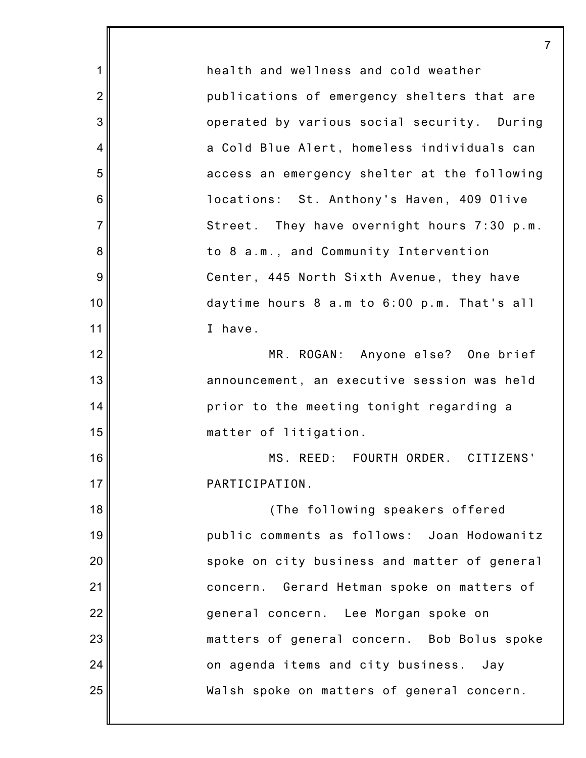1 2 3 4 5 6 7 8 9 10 11 12 13 14 15 16 17 18 19 20 21 22 23 24 25 7 health and wellness and cold weather publications of emergency shelters that are operated by various social security. During a Cold Blue Alert, homeless individuals can access an emergency shelter at the following locations: St. Anthony's Haven, 409 Olive Street. They have overnight hours 7:30 p.m. to 8 a.m., and Community Intervention Center, 445 North Sixth Avenue, they have daytime hours 8 a.m to 6:00 p.m. That's all I have. MR. ROGAN: Anyone else? One brief announcement, an executive session was held prior to the meeting tonight regarding a matter of litigation. MS. REED: FOURTH ORDER. CITIZENS' PARTICIPATION. (The following speakers offered public comments as follows: Joan Hodowanitz spoke on city business and matter of general concern. Gerard Hetman spoke on matters of general concern. Lee Morgan spoke on matters of general concern. Bob Bolus spoke on agenda items and city business. Jay Walsh spoke on matters of general concern.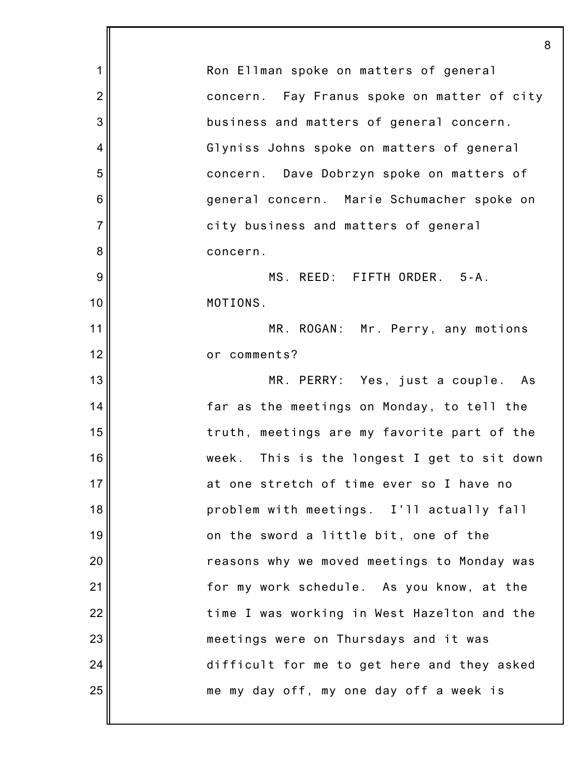|                | 8                                           |
|----------------|---------------------------------------------|
| 1              | Ron Ellman spoke on matters of general      |
| $\overline{2}$ | concern. Fay Franus spoke on matter of city |
| 3              | business and matters of general concern.    |
| $\overline{4}$ | Glyniss Johns spoke on matters of general   |
| 5              | concern. Dave Dobrzyn spoke on matters of   |
| 6              | general concern. Marie Schumacher spoke on  |
| $\overline{7}$ | city business and matters of general        |
| 8              | concern.                                    |
| 9              | MS. REED: FIFTH ORDER. 5-A.                 |
| 10             | MOTIONS.                                    |
| 11             | MR. ROGAN: Mr. Perry, any motions           |
| 12             | or comments?                                |
| 13             | MR. PERRY: Yes, just a couple. As           |
| 14             | far as the meetings on Monday, to tell the  |
| 15             | truth, meetings are my favorite part of the |
| 16             | week. This is the longest I get to sit down |
| 17             | at one stretch of time ever so I have no    |
| 18             | problem with meetings. I'll actually fall   |
| 19             | on the sword a little bit, one of the       |
| 20             | reasons why we moved meetings to Monday was |
| 21             | for my work schedule. As you know, at the   |
| 22             | time I was working in West Hazelton and the |
| 23             | meetings were on Thursdays and it was       |
| 24             | difficult for me to get here and they asked |
| 25             | me my day off, my one day off a week is     |
|                |                                             |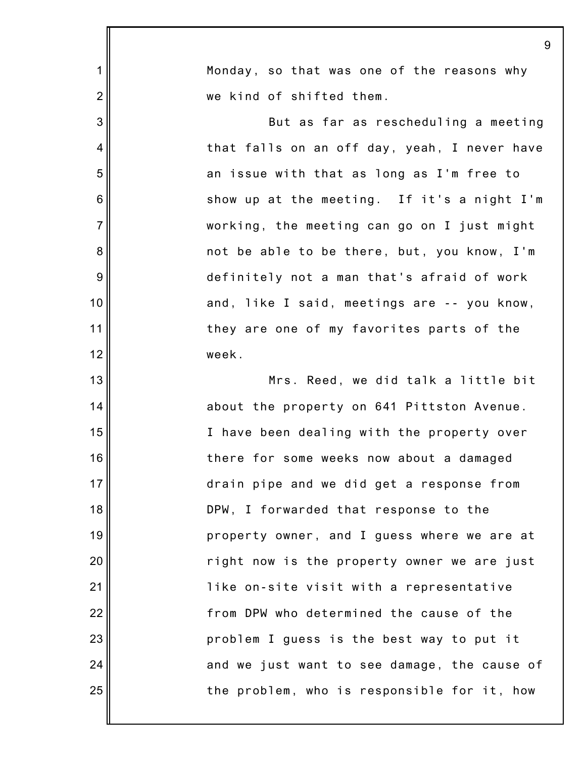|                | 9                                            |
|----------------|----------------------------------------------|
| $\mathbf 1$    | Monday, so that was one of the reasons why   |
| $\overline{2}$ | we kind of shifted them.                     |
| 3              | But as far as rescheduling a meeting         |
| 4              | that falls on an off day, yeah, I never have |
| 5              | an issue with that as long as I'm free to    |
| 6              | show up at the meeting. If it's a night I'm  |
| $\overline{7}$ | working, the meeting can go on I just might  |
| 8              | not be able to be there, but, you know, I'm  |
| 9              | definitely not a man that's afraid of work   |
| 10             | and, like I said, meetings are -- you know,  |
| 11             | they are one of my favorites parts of the    |
| 12             | week.                                        |
| 13             | Mrs. Reed, we did talk a little bit          |
| 14             | about the property on 641 Pittston Avenue.   |
| 15             | I have been dealing with the property over   |
| 16             | there for some weeks now about a damaged     |
| 17             | drain pipe and we did get a response from    |
| 18             | DPW, I forwarded that response to the        |
| 19             | property owner, and I guess where we are at  |
| 20             | right now is the property owner we are just  |
| 21             | like on-site visit with a representative     |
| 22             | from DPW who determined the cause of the     |
| 23             | problem I guess is the best way to put it    |
| 24             | and we just want to see damage, the cause of |
| 25             | the problem, who is responsible for it, how  |
|                |                                              |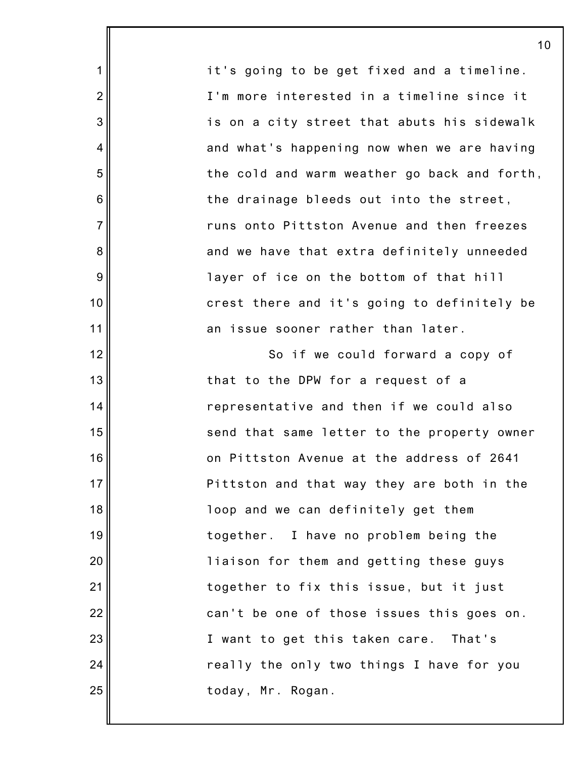it's going to be get fixed and a timeline. I'm more interested in a timeline since it is on a city street that abuts his sidewalk and what's happening now when we are having the cold and warm weather go back and forth, the drainage bleeds out into the street, runs onto Pittston Avenue and then freezes and we have that extra definitely unneeded layer of ice on the bottom of that hill crest there and it's going to definitely be an issue sooner rather than later. So if we could forward a copy of that to the DPW for a request of a representative and then if we could also send that same letter to the property owner on Pittston Avenue at the address of 2641 Pittston and that way they are both in the loop and we can definitely get them together. I have no problem being the liaison for them and getting these guys together to fix this issue, but it just can't be one of those issues this goes on. I want to get this taken care. That's really the only two things I have for you today, Mr. Rogan.

10

1

2

3

4

5

6

7

8

9

10

11

12

13

14

15

16

17

18

19

20

21

22

23

24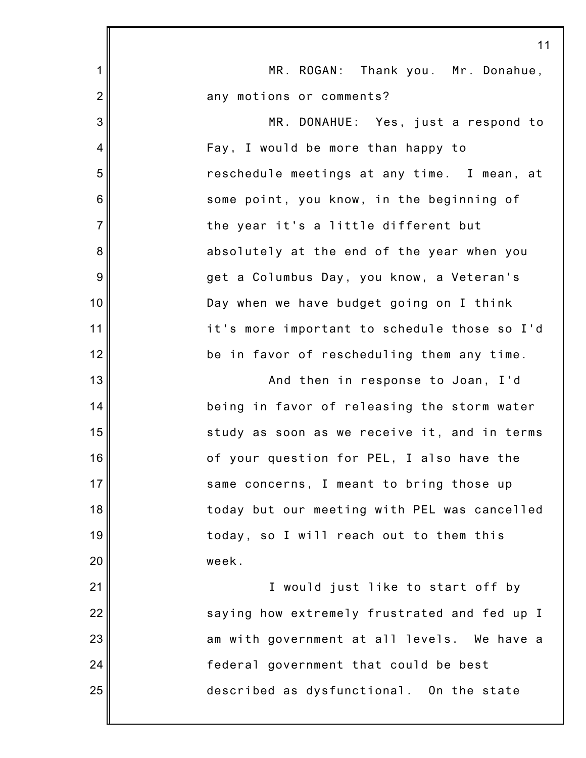|                | 11                                           |
|----------------|----------------------------------------------|
| 1              | MR. ROGAN: Thank you. Mr. Donahue,           |
| $\overline{c}$ | any motions or comments?                     |
| 3              | MR. DONAHUE: Yes, just a respond to          |
| 4              | Fay, I would be more than happy to           |
| 5              | reschedule meetings at any time. I mean, at  |
| 6              | some point, you know, in the beginning of    |
| $\overline{7}$ | the year it's a little different but         |
| 8              | absolutely at the end of the year when you   |
| 9              | get a Columbus Day, you know, a Veteran's    |
| 10             | Day when we have budget going on I think     |
| 11             | it's more important to schedule those so I'd |
| 12             | be in favor of rescheduling them any time.   |
| 13             | And then in response to Joan, I'd            |
| 14             | being in favor of releasing the storm water  |
| 15             | study as soon as we receive it, and in terms |
| 16             | of your question for PEL, I also have the    |
| 17             | same concerns, I meant to bring those up     |
| 18             | today but our meeting with PEL was cancelled |
| 19             | today, so I will reach out to them this      |
| 20             | week.                                        |
| 21             | I would just like to start off by            |
| 22             | saying how extremely frustrated and fed up I |
| 23             | am with government at all levels. We have a  |
| 24             | federal government that could be best        |
| 25             | described as dysfunctional. On the state     |
|                |                                              |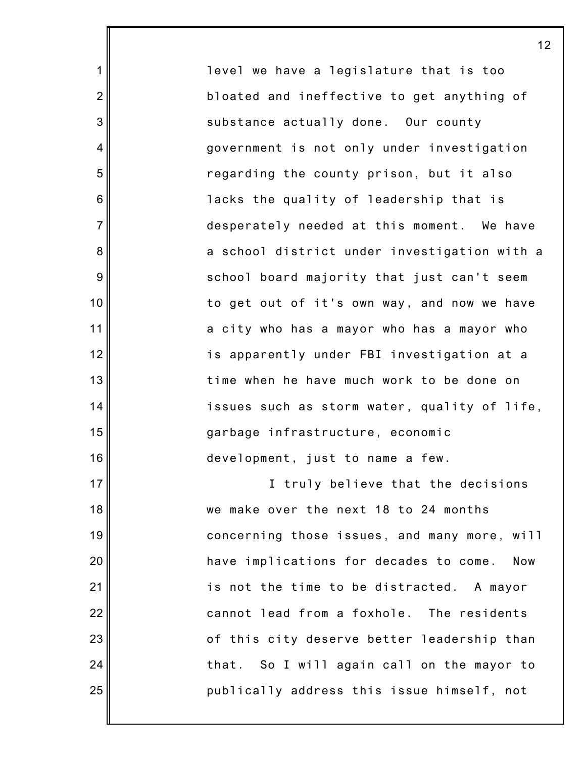level we have a legislature that is too bloated and ineffective to get anything of substance actually done. Our county government is not only under investigation regarding the county prison, but it also lacks the quality of leadership that is desperately needed at this moment. We have a school district under investigation with a school board majority that just can't seem to get out of it's own way, and now we have a city who has a mayor who has a mayor who is apparently under FBI investigation at a time when he have much work to be done on issues such as storm water, quality of life, garbage infrastructure, economic development, just to name a few.

1

2

3

4

5

6

7

8

9

10

11

12

13

14

15

16

17

18

19

20

21

22

23

24

25

I truly believe that the decisions we make over the next 18 to 24 months concerning those issues, and many more, will have implications for decades to come. Now is not the time to be distracted. A mayor cannot lead from a foxhole. The residents of this city deserve better leadership than that. So I will again call on the mayor to publically address this issue himself, not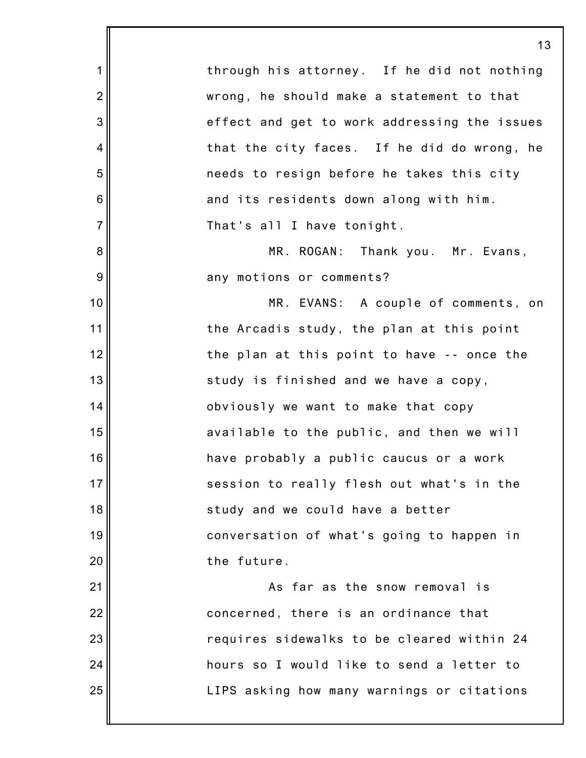1 2 3 4 5 6 7 8 9 10 11 12 13 14 15 16 17 18 19 20 21 22 23 24 25 13 through his attorney. If he did not nothing wrong, he should make a statement to that effect and get to work addressing the issues that the city faces. If he did do wrong, he needs to resign before he takes this city and its residents down along with him. That's all I have tonight. MR. ROGAN: Thank you. Mr. Evans, any motions or comments? MR. EVANS: A couple of comments, on the Arcadis study, the plan at this point the plan at this point to have -- once the study is finished and we have a copy, obviously we want to make that copy available to the public, and then we will have probably a public caucus or a work session to really flesh out what's in the study and we could have a better conversation of what's going to happen in the future. As far as the snow removal is concerned, there is an ordinance that requires sidewalks to be cleared within 24 hours so I would like to send a letter to LIPS asking how many warnings or citations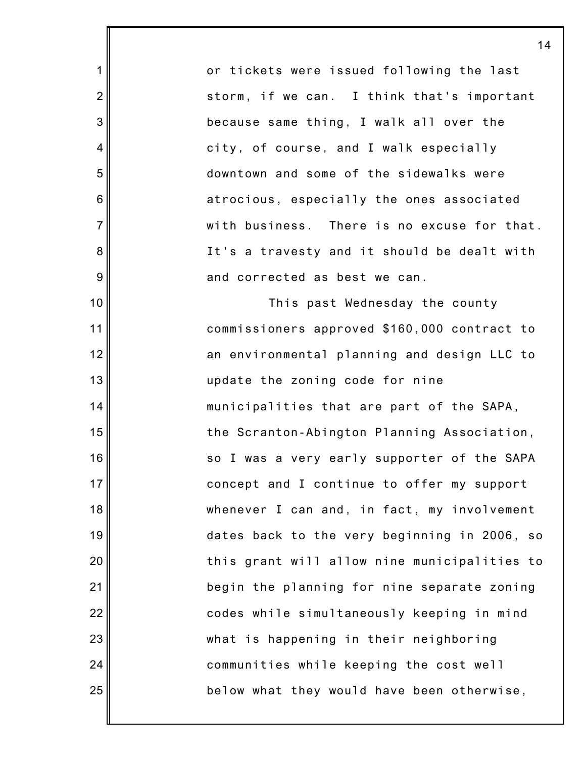or tickets were issued following the last storm, if we can. I think that's important because same thing, I walk all over the city, of course, and I walk especially downtown and some of the sidewalks were atrocious, especially the ones associated with business. There is no excuse for that. It's a travesty and it should be dealt with and corrected as best we can.

1

2

3

4

5

6

7

8

9

10

11

12

13

14

15

16

17

18

19

20

21

22

23

24

25

This past Wednesday the county commissioners approved \$160,000 contract to an environmental planning and design LLC to update the zoning code for nine municipalities that are part of the SAPA, the Scranton-Abington Planning Association, so I was a very early supporter of the SAPA concept and I continue to offer my support whenever I can and, in fact, my involvement dates back to the very beginning in 2006, so this grant will allow nine municipalities to begin the planning for nine separate zoning codes while simultaneously keeping in mind what is happening in their neighboring communities while keeping the cost well below what they would have been otherwise,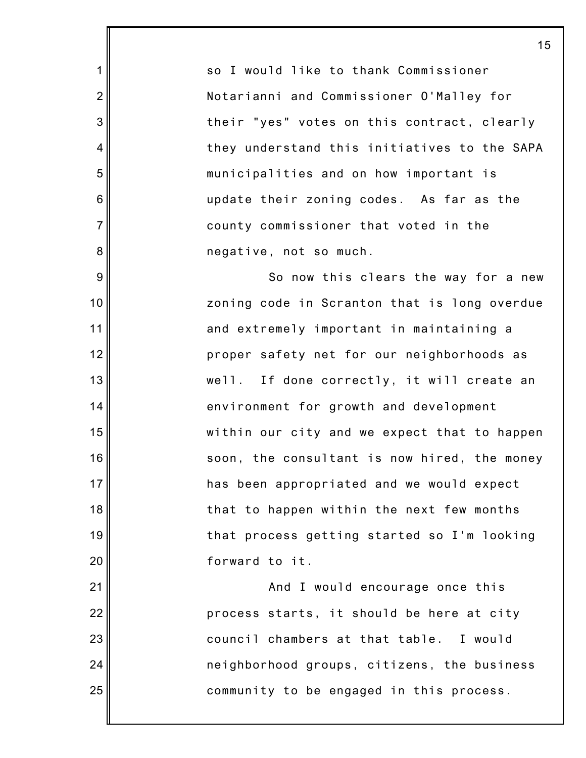so I would like to thank Commissioner Notarianni and Commissioner O'Malley for their "yes" votes on this contract, clearly they understand this initiatives to the SAPA municipalities and on how important is update their zoning codes. As far as the county commissioner that voted in the negative, not so much.

1

2

3

4

5

6

7

8

9

10

11

12

13

14

15

16

17

18

19

20

21

22

23

24

25

So now this clears the way for a new zoning code in Scranton that is long overdue and extremely important in maintaining a proper safety net for our neighborhoods as well. If done correctly, it will create an environment for growth and development within our city and we expect that to happen soon, the consultant is now hired, the money has been appropriated and we would expect that to happen within the next few months that process getting started so I'm looking forward to it.

And I would encourage once this process starts, it should be here at city council chambers at that table. I would neighborhood groups, citizens, the business community to be engaged in this process.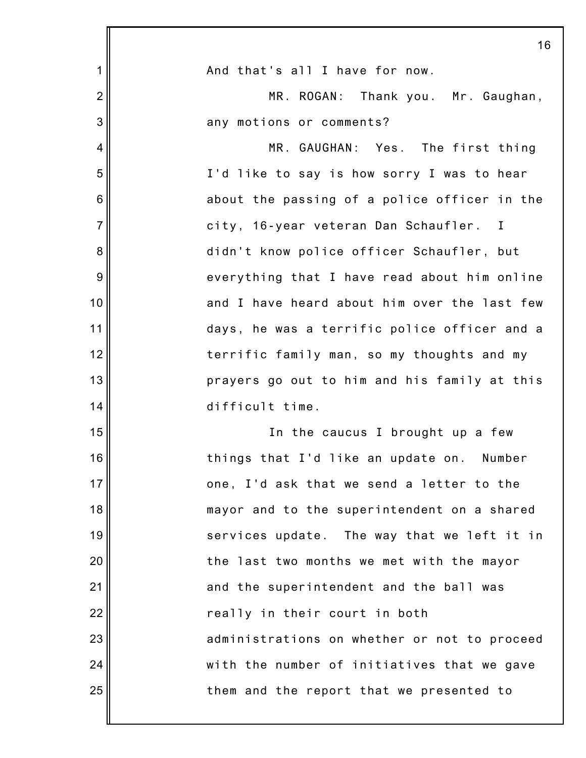|                 | 16                                           |
|-----------------|----------------------------------------------|
| 1               | And that's all I have for now.               |
| $\overline{2}$  | MR. ROGAN: Thank you. Mr. Gaughan,           |
| 3               | any motions or comments?                     |
| 4               | MR. GAUGHAN: Yes. The first thing            |
| 5               | I'd like to say is how sorry I was to hear   |
| $6\phantom{1}6$ | about the passing of a police officer in the |
| $\overline{7}$  | city, 16-year veteran Dan Schaufler. I       |
| 8               | didn't know police officer Schaufler, but    |
| 9               | everything that I have read about him online |
| 10              | and I have heard about him over the last few |
| 11              | days, he was a terrific police officer and a |
| 12              | terrific family man, so my thoughts and my   |
| 13              | prayers go out to him and his family at this |
| 14              | difficult time.                              |
| 15              | In the caucus I brought up a few             |
| 16              | things that I'd like an update on.<br>Number |
| 17              | one, I'd ask that we send a letter to the    |
| 18              | mayor and to the superintendent on a shared  |
| 19              | services update. The way that we left it in  |
| 20              | the last two months we met with the mayor    |
| 21              | and the superintendent and the ball was      |
| 22              | really in their court in both                |
| 23              | administrations on whether or not to proceed |
| 24              | with the number of initiatives that we gave  |
| 25              | them and the report that we presented to     |
|                 |                                              |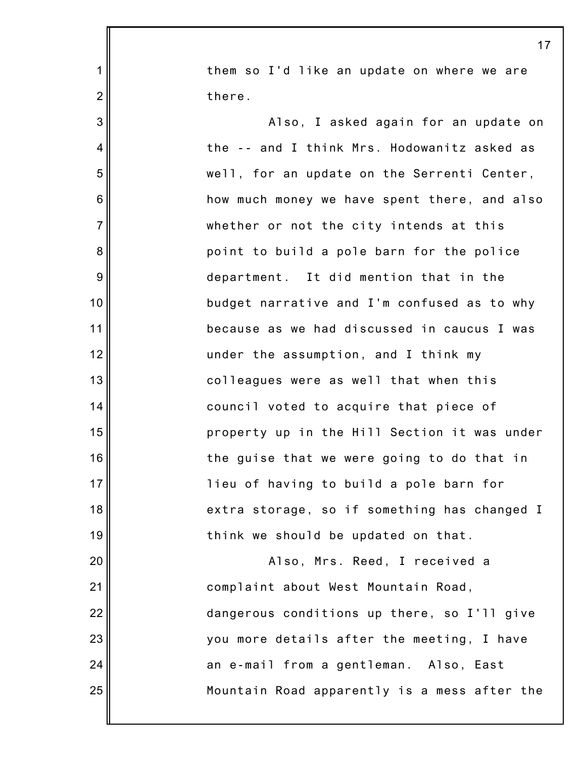them so I'd like an update on where we are there.

1

2

3

4

5

6

7

8

9

10

11

12

13

14

15

16

17

18

19

20

21

22

23

24

25

Also, I asked again for an update on the -- and I think Mrs. Hodowanitz asked as well, for an update on the Serrenti Center, how much money we have spent there, and also whether or not the city intends at this point to build a pole barn for the police department. It did mention that in the budget narrative and I'm confused as to why because as we had discussed in caucus I was under the assumption, and I think my colleagues were as well that when this council voted to acquire that piece of property up in the Hill Section it was under the guise that we were going to do that in lieu of having to build a pole barn for extra storage, so if something has changed I think we should be updated on that. Also, Mrs. Reed, I received a complaint about West Mountain Road,

> dangerous conditions up there, so I'll give you more details after the meeting, I have an e-mail from a gentleman. Also, East Mountain Road apparently is a mess after the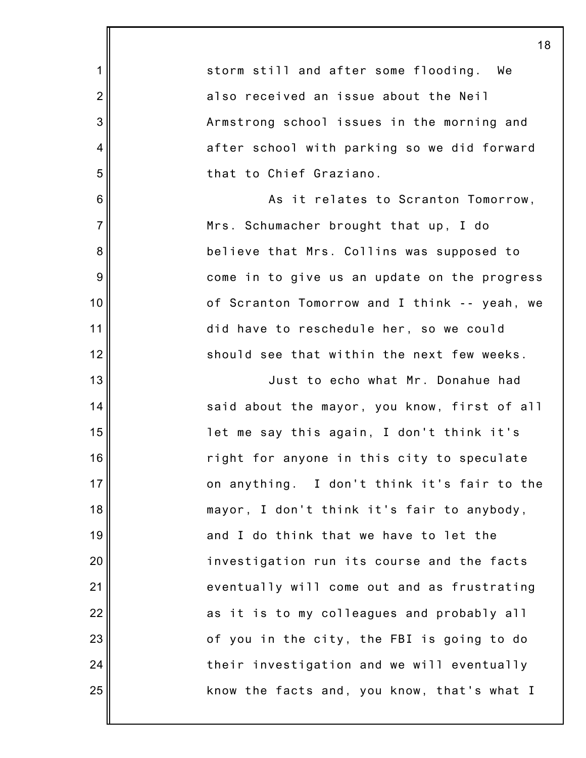|                 | 18                                           |
|-----------------|----------------------------------------------|
| 1               | storm still and after some flooding.<br>We   |
| $\overline{2}$  | also received an issue about the Neil        |
| 3               | Armstrong school issues in the morning and   |
| $\overline{4}$  | after school with parking so we did forward  |
| 5               | that to Chief Graziano.                      |
| 6               | As it relates to Scranton Tomorrow,          |
| $\overline{7}$  | Mrs. Schumacher brought that up, I do        |
| 8               | believe that Mrs. Collins was supposed to    |
| 9               | come in to give us an update on the progress |
| 10              | of Scranton Tomorrow and I think -- yeah, we |
| 11              | did have to reschedule her, so we could      |
| 12              | should see that within the next few weeks.   |
| 13              | Just to echo what Mr. Donahue had            |
| 14              | said about the mayor, you know, first of all |
| 15              | let me say this again, I don't think it's    |
| 16 <sup>1</sup> | right for anyone in this city to speculate   |
| 17              | on anything. I don't think it's fair to the  |
| 18              | mayor, I don't think it's fair to anybody,   |
| 19              | and I do think that we have to let the       |
| 20              | investigation run its course and the facts   |
| 21              | eventually will come out and as frustrating  |
| 22              | as it is to my colleagues and probably all   |
| 23              | of you in the city, the FBI is going to do   |
| 24              | their investigation and we will eventually   |
| 25              | know the facts and, you know, that's what I  |
|                 |                                              |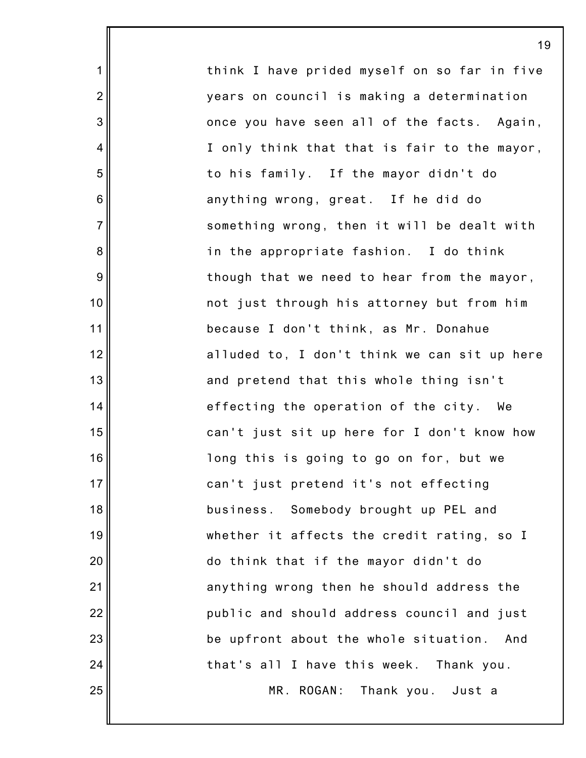think I have prided myself on so far in five years on council is making a determination once you have seen all of the facts. Again, I only think that that is fair to the mayor, to his family. If the mayor didn't do anything wrong, great. If he did do something wrong, then it will be dealt with in the appropriate fashion. I do think though that we need to hear from the mayor, not just through his attorney but from him because I don't think, as Mr. Donahue alluded to, I don't think we can sit up here and pretend that this whole thing isn't effecting the operation of the city. We can't just sit up here for I don't know how long this is going to go on for, but we can't just pretend it's not effecting business. Somebody brought up PEL and whether it affects the credit rating, so I do think that if the mayor didn't do anything wrong then he should address the public and should address council and just be upfront about the whole situation. And that's all I have this week. Thank you. MR. ROGAN: Thank you. Just a

19

1

2

3

4

5

6

7

8

9

10

11

12

13

14

15

16

17

18

19

20

21

22

23

24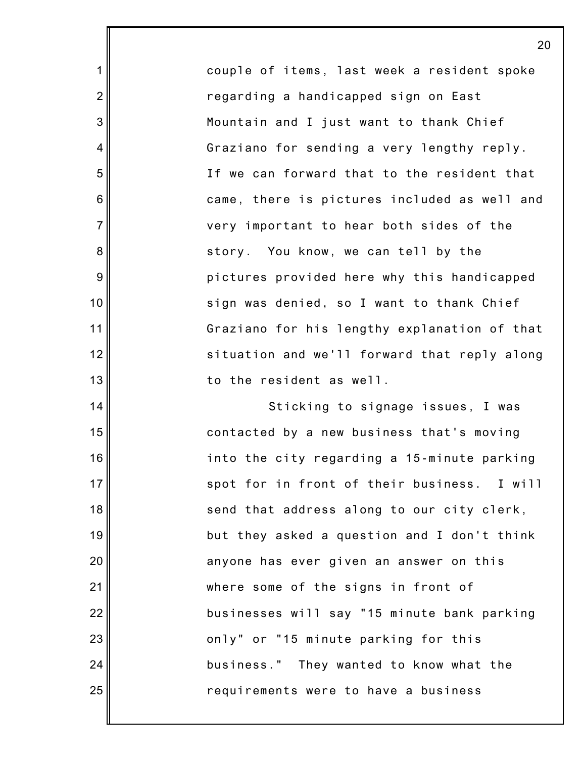couple of items, last week a resident spoke regarding a handicapped sign on East Mountain and I just want to thank Chief Graziano for sending a very lengthy reply. If we can forward that to the resident that came, there is pictures included as well and very important to hear both sides of the story. You know, we can tell by the pictures provided here why this handicapped sign was denied, so I want to thank Chief Graziano for his lengthy explanation of that situation and we'll forward that reply along to the resident as well.

1

2

3

4

5

6

7

8

9

10

11

12

13

14

15

16

17

18

19

20

21

22

23

24

25

Sticking to signage issues, I was contacted by a new business that's moving into the city regarding a 15-minute parking spot for in front of their business. I will send that address along to our city clerk, but they asked a question and I don't think anyone has ever given an answer on this where some of the signs in front of businesses will say "15 minute bank parking only" or "15 minute parking for this business." They wanted to know what the requirements were to have a business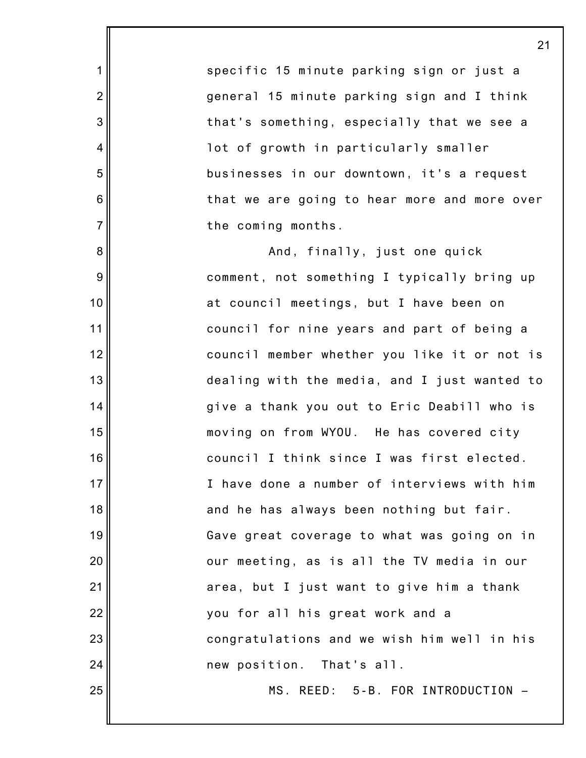specific 15 minute parking sign or just a general 15 minute parking sign and I think that's something, especially that we see a lot of growth in particularly smaller businesses in our downtown, it's a request that we are going to hear more and more over the coming months.

1

2

3

4

5

6

7

8

9

10

11

12

13

14

15

16

17

18

19

20

21

22

23

24

25

And, finally, just one quick comment, not something I typically bring up at council meetings, but I have been on council for nine years and part of being a council member whether you like it or not is dealing with the media, and I just wanted to give a thank you out to Eric Deabill who is moving on from WYOU. He has covered city council I think since I was first elected. I have done a number of interviews with him and he has always been nothing but fair. Gave great coverage to what was going on in our meeting, as is all the TV media in our area, but I just want to give him a thank you for all his great work and a congratulations and we wish him well in his new position. That's all. MS. REED: 5-B. FOR INTRODUCTION –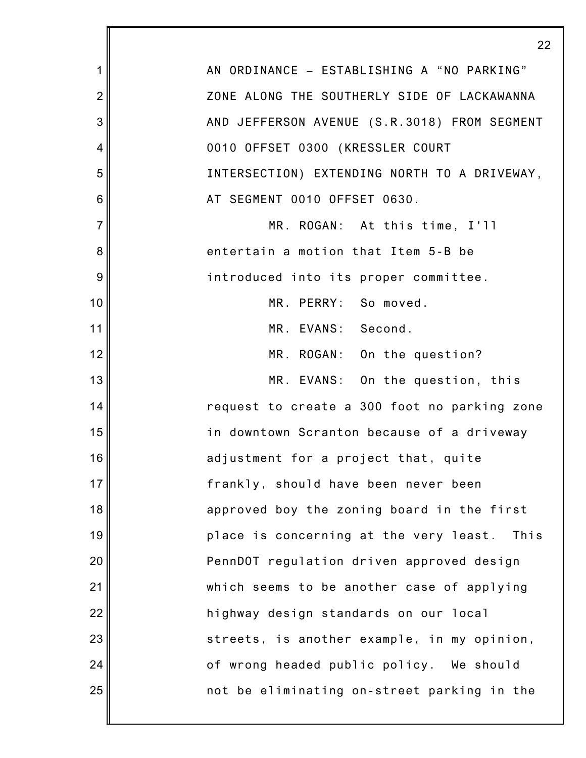|                  | 2:                                             |
|------------------|------------------------------------------------|
| 1                | AN ORDINANCE - ESTABLISHING A "NO PARKING"     |
| $\overline{2}$   | ZONE ALONG THE SOUTHERLY SIDE OF LACKAWANNA    |
| 3                | AND JEFFERSON AVENUE (S.R.3018) FROM SEGMENT   |
| 4                | 0010 OFFSET 0300 (KRESSLER COURT               |
| 5                | INTERSECTION) EXTENDING NORTH TO A DRIVEWAY,   |
| 6                | AT SEGMENT 0010 OFFSET 0630.                   |
| $\overline{7}$   | MR. ROGAN: At this time, I'll                  |
| 8                | entertain a motion that Item 5-B be            |
| $\boldsymbol{9}$ | introduced into its proper committee.          |
| 10               | MR. PERRY: So moved.                           |
| 11               | MR. EVANS: Second.                             |
| 12               | MR. ROGAN: On the question?                    |
| 13               | MR. EVANS: On the question, this               |
| 14               | request to create a 300 foot no parking zone   |
| 15               | in downtown Scranton because of a driveway     |
| 16               | adjustment for a project that, quite           |
| 17               | frankly, should have been never been           |
| 18               | approved boy the zoning board in the first     |
| 19               | place is concerning at the very least.<br>This |
| 20               | PennDOT regulation driven approved design      |
| 21               | which seems to be another case of applying     |
| 22               | highway design standards on our local          |
| 23               | streets, is another example, in my opinion,    |
| 24               | of wrong headed public policy. We should       |
| 25               | not be eliminating on-street parking in the    |
|                  |                                                |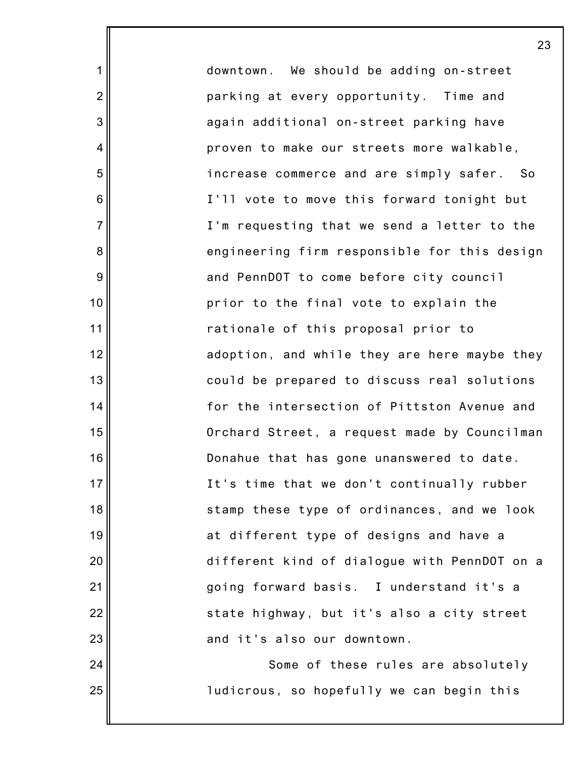downtown. We should be adding on-street parking at every opportunity. Time and again additional on-street parking have proven to make our streets more walkable, increase commerce and are simply safer. So I'll vote to move this forward tonight but I'm requesting that we send a letter to the engineering firm responsible for this design and PennDOT to come before city council prior to the final vote to explain the rationale of this proposal prior to adoption, and while they are here maybe they could be prepared to discuss real solutions for the intersection of Pittston Avenue and Orchard Street, a request made by Councilman Donahue that has gone unanswered to date. It's time that we don't continually rubber stamp these type of ordinances, and we look at different type of designs and have a different kind of dialogue with PennDOT on a going forward basis. I understand it's a state highway, but it's also a city street and it's also our downtown. Some of these rules are absolutely

ludicrous, so hopefully we can begin this

1

2

3

4

5

6

7

8

9

10

11

12

13

14

15

16

17

18

19

20

21

22

23

24

25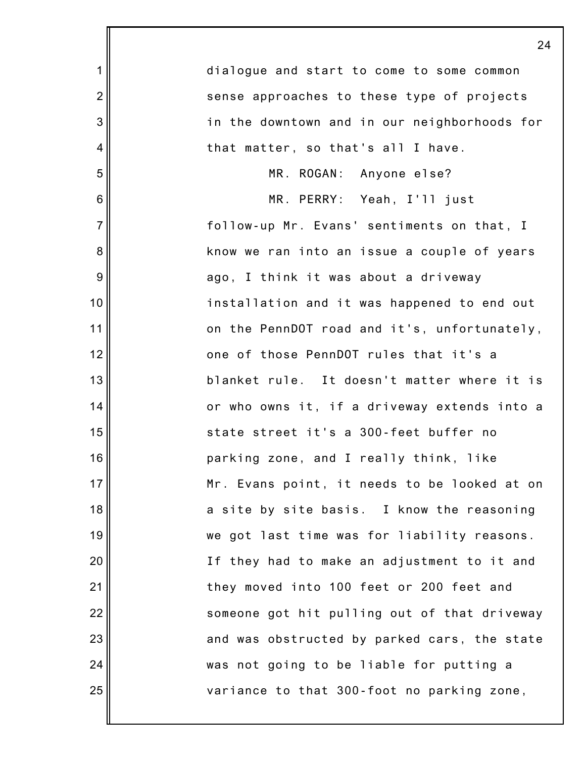|                | 24                                           |
|----------------|----------------------------------------------|
| $\mathbf 1$    | dialogue and start to come to some common    |
| $\overline{2}$ | sense approaches to these type of projects   |
| 3              | in the downtown and in our neighborhoods for |
| $\overline{4}$ | that matter, so that's all I have.           |
| 5              | MR. ROGAN: Anyone else?                      |
| 6              | MR. PERRY: Yeah, I'll just                   |
| $\overline{7}$ | follow-up Mr. Evans' sentiments on that, I   |
| 8              | know we ran into an issue a couple of years  |
| 9              | ago, I think it was about a driveway         |
| 10             | installation and it was happened to end out  |
| 11             | on the PennDOT road and it's, unfortunately, |
| 12             | one of those PennDOT rules that it's a       |
| 13             | blanket rule. It doesn't matter where it is  |
| 14             | or who owns it, if a driveway extends into a |
| 15             | state street it's a 300-feet buffer no       |
| 16             | parking zone, and I really think, like       |
| 17             | Mr. Evans point, it needs to be looked at on |
| 18             | a site by site basis. I know the reasoning   |
| 19             | we got last time was for liability reasons.  |
| 20             | If they had to make an adjustment to it and  |
| 21             | they moved into 100 feet or 200 feet and     |
| 22             | someone got hit pulling out of that driveway |
| 23             | and was obstructed by parked cars, the state |
| 24             | was not going to be liable for putting a     |
| 25             | variance to that 300-foot no parking zone,   |
|                |                                              |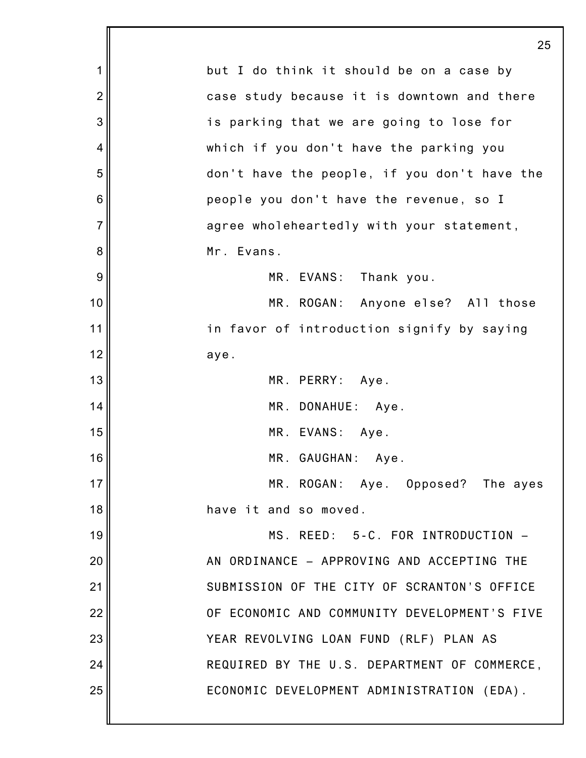|                 | 25                                           |
|-----------------|----------------------------------------------|
| 1               | but I do think it should be on a case by     |
| $\overline{2}$  | case study because it is downtown and there  |
| 3               | is parking that we are going to lose for     |
| 4               | which if you don't have the parking you      |
| 5               | don't have the people, if you don't have the |
| $6\phantom{1}6$ | people you don't have the revenue, so I      |
| $\overline{7}$  | agree wholeheartedly with your statement,    |
| 8               | Mr. Evans.                                   |
| 9               | MR. EVANS: Thank you.                        |
| 10              | MR. ROGAN: Anyone else? All those            |
| 11              | in favor of introduction signify by saying   |
| 12              | aye.                                         |
| 13              | MR. PERRY: Aye.                              |
| 14              | MR. DONAHUE: Aye.                            |
| 15              | MR. EVANS: Aye.                              |
| 16              | MR. GAUGHAN: Aye.                            |
| 17              | MR. ROGAN: Aye. Opposed? The ayes            |
| 18              | have it and so moved.                        |
| 19              | MS. REED: 5-C. FOR INTRODUCTION -            |
| 20              | AN ORDINANCE - APPROVING AND ACCEPTING THE   |
| 21              | SUBMISSION OF THE CITY OF SCRANTON'S OFFICE  |
| 22              | OF ECONOMIC AND COMMUNITY DEVELOPMENT'S FIVE |
| 23              | YEAR REVOLVING LOAN FUND (RLF) PLAN AS       |
| 24              | REQUIRED BY THE U.S. DEPARTMENT OF COMMERCE, |
| 25              | ECONOMIC DEVELOPMENT ADMINISTRATION (EDA).   |
|                 |                                              |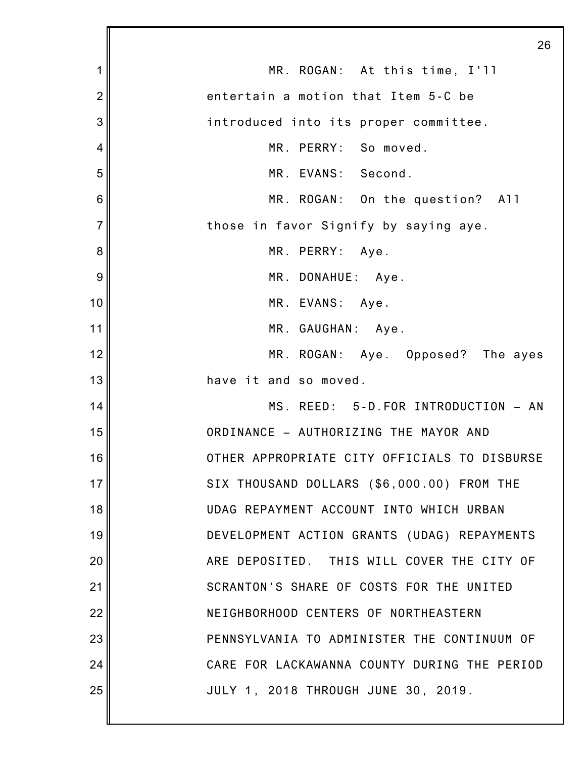|                | 26                                           |
|----------------|----------------------------------------------|
| 1              | MR. ROGAN: At this time, I'll                |
| $\overline{2}$ | entertain a motion that Item 5-C be          |
| 3              | introduced into its proper committee.        |
| 4              | MR. PERRY: So moved.                         |
| 5              | MR. EVANS: Second.                           |
| 6              | MR. ROGAN: On the question? All              |
| $\overline{7}$ | those in favor Signify by saying aye.        |
| 8              | MR. PERRY: Aye.                              |
| 9              | MR. DONAHUE: Aye.                            |
| 10             | MR. EVANS: Aye.                              |
| 11             | MR. GAUGHAN: Aye.                            |
| 12             | MR. ROGAN: Aye. Opposed? The ayes            |
| 13             | have it and so moved.                        |
| 14             | MS. REED: 5-D. FOR INTRODUCTION - AN         |
| 15             | ORDINANCE - AUTHORIZING THE MAYOR AND        |
| 16             | OTHER APPROPRIATE CITY OFFICIALS TO DISBURSE |
| 17             | SIX THOUSAND DOLLARS (\$6,000.00) FROM THE   |
| 18             | UDAG REPAYMENT ACCOUNT INTO WHICH URBAN      |
| 19             | DEVELOPMENT ACTION GRANTS (UDAG) REPAYMENTS  |
| 20             | ARE DEPOSITED. THIS WILL COVER THE CITY OF   |
| 21             | SCRANTON'S SHARE OF COSTS FOR THE UNITED     |
| 22             | NEIGHBORHOOD CENTERS OF NORTHEASTERN         |
| 23             | PENNSYLVANIA TO ADMINISTER THE CONTINUUM OF  |
| 24             | CARE FOR LACKAWANNA COUNTY DURING THE PERIOD |
| 25             | JULY 1, 2018 THROUGH JUNE 30, 2019.          |
|                |                                              |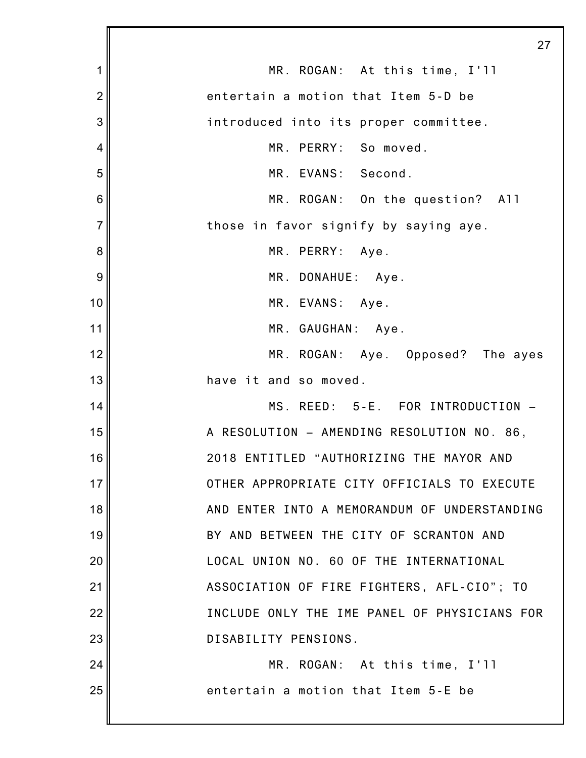|                | 27                                           |
|----------------|----------------------------------------------|
| 1              | MR. ROGAN: At this time, I'll                |
| $\overline{2}$ | entertain a motion that Item 5-D be          |
| 3              | introduced into its proper committee.        |
| 4              | MR. PERRY: So moved.                         |
| 5              | MR. EVANS: Second.                           |
| 6              | MR. ROGAN: On the question? All              |
| $\overline{7}$ | those in favor signify by saying aye.        |
| 8              | MR. PERRY: Aye.                              |
| 9              | MR. DONAHUE: Aye.                            |
| 10             | MR. EVANS: Aye.                              |
| 11             | MR. GAUGHAN: Aye.                            |
| 12             | MR. ROGAN: Aye. Opposed? The ayes            |
| 13             | have it and so moved.                        |
| 14             | MS. REED: 5-E. FOR INTRODUCTION -            |
| 15             | A RESOLUTION - AMENDING RESOLUTION NO. 86,   |
| 16             | 2018 ENTITLED "AUTHORIZING THE MAYOR AND     |
| 17             | OTHER APPROPRIATE CITY OFFICIALS TO EXECUTE  |
| 18             | AND ENTER INTO A MEMORANDUM OF UNDERSTANDING |
| 19             | BY AND BETWEEN THE CITY OF SCRANTON AND      |
| 20             | LOCAL UNION NO. 60 OF THE INTERNATIONAL      |
| 21             | ASSOCIATION OF FIRE FIGHTERS, AFL-CIO"; TO   |
| 22             | INCLUDE ONLY THE IME PANEL OF PHYSICIANS FOR |
| 23             | DISABILITY PENSIONS.                         |
| 24             | MR. ROGAN: At this time, I'll                |
| 25             | entertain a motion that Item 5-E be          |
|                |                                              |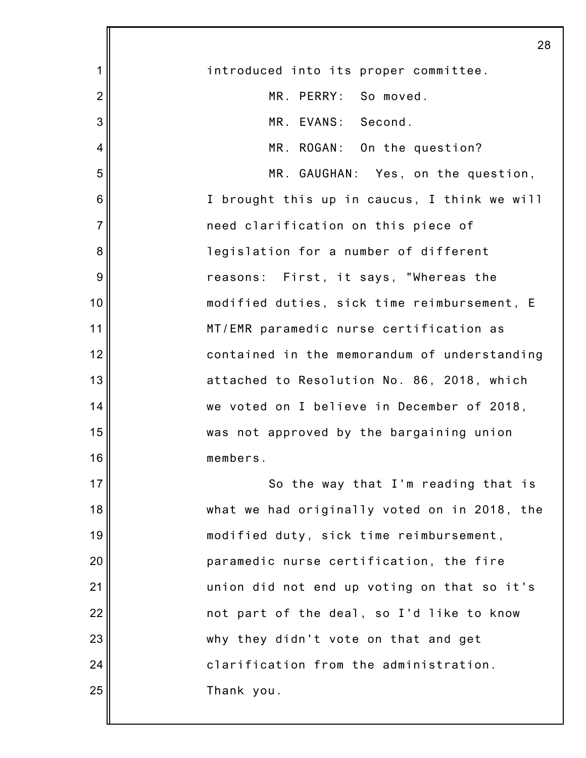|                 | 28                                           |
|-----------------|----------------------------------------------|
| 1               | introduced into its proper committee.        |
| $\overline{2}$  | MR. PERRY: So moved.                         |
| 3               | MR. EVANS: Second.                           |
| 4               | MR. ROGAN: On the question?                  |
| 5               | MR. GAUGHAN: Yes, on the question,           |
| $6\phantom{1}6$ | I brought this up in caucus, I think we will |
| $\overline{7}$  | need clarification on this piece of          |
| 8               | legislation for a number of different        |
| 9               | reasons: First, it says, "Whereas the        |
| 10              | modified duties, sick time reimbursement, E  |
| 11              | MT/EMR paramedic nurse certification as      |
| 12              | contained in the memorandum of understanding |
| 13              | attached to Resolution No. 86, 2018, which   |
| 14              | we voted on I believe in December of 2018,   |
| 15              | was not approved by the bargaining union     |
| 16              | members.                                     |
| 17              | So the way that I'm reading that is          |
| 18              | what we had originally voted on in 2018, the |
| 19              | modified duty, sick time reimbursement,      |
| 20              | paramedic nurse certification, the fire      |
| 21              | union did not end up voting on that so it's  |
| 22              | not part of the deal, so I'd like to know    |
| 23              | why they didn't vote on that and get         |
| 24              | clarification from the administration.       |
| 25              | Thank you.                                   |
|                 |                                              |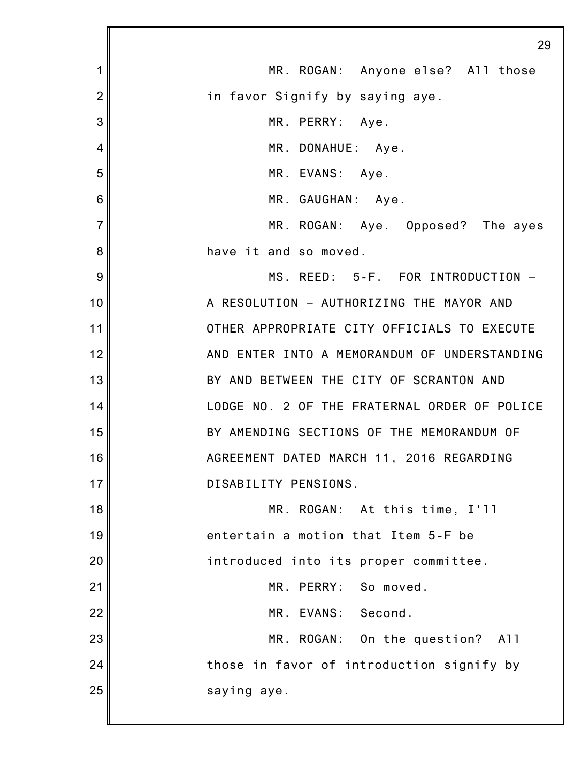|                | 29                                           |
|----------------|----------------------------------------------|
| 1              | MR. ROGAN: Anyone else? All those            |
| $\overline{2}$ | in favor Signify by saying aye.              |
| 3              | MR. PERRY: Aye.                              |
| 4              | MR. DONAHUE: Aye.                            |
| 5              | MR. EVANS: Aye.                              |
| 6              | MR. GAUGHAN: Aye.                            |
| $\overline{7}$ | MR. ROGAN: Aye. Opposed? The ayes            |
| 8              | have it and so moved.                        |
| 9              | MS. REED: 5-F. FOR INTRODUCTION -            |
| 10             | A RESOLUTION - AUTHORIZING THE MAYOR AND     |
| 11             | OTHER APPROPRIATE CITY OFFICIALS TO EXECUTE  |
| 12             | AND ENTER INTO A MEMORANDUM OF UNDERSTANDING |
| 13             | BY AND BETWEEN THE CITY OF SCRANTON AND      |
| 14             | LODGE NO. 2 OF THE FRATERNAL ORDER OF POLICE |
| 15             | BY AMENDING SECTIONS OF THE MEMORANDUM OF    |
| 16             | AGREEMENT DATED MARCH 11, 2016 REGARDING     |
| 17             | DISABILITY PENSIONS.                         |
| 18             | MR. ROGAN: At this time, I'll                |
| 19             | entertain a motion that Item 5-F be          |
| 20             | introduced into its proper committee.        |
| 21             | MR. PERRY: So moved.                         |
| 22             | MR. EVANS: Second.                           |
| 23             | MR. ROGAN: On the question? All              |
| 24             | those in favor of introduction signify by    |
| 25             | saying aye.                                  |
|                |                                              |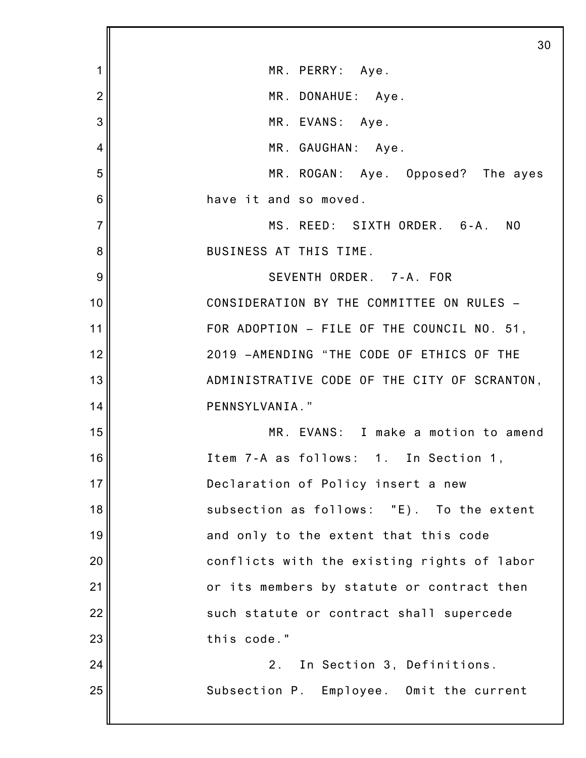1 2 3 4 5 6 7 8 9 10 11 12 13 14 15 16 17 18 19 20 21 22 23 24 25 30 MR. PERRY: Aye. MR. DONAHUE: Aye. MR. EVANS: Aye. MR. GAUGHAN: Aye. MR. ROGAN: Aye. Opposed? The ayes have it and so moved. MS. REED: SIXTH ORDER. 6-A. NO BUSINESS AT THIS TIME. SEVENTH ORDER. 7-A. FOR CONSIDERATION BY THE COMMITTEE ON RULES – FOR ADOPTION – FILE OF THE COUNCIL NO. 51, 2019 –AMENDING "THE CODE OF ETHICS OF THE ADMINISTRATIVE CODE OF THE CITY OF SCRANTON, PENNSYLVANIA." MR. EVANS: I make a motion to amend Item 7-A as follows: 1. In Section 1, Declaration of Policy insert a new subsection as follows: "E). To the extent and only to the extent that this code conflicts with the existing rights of labor or its members by statute or contract then such statute or contract shall supercede this code." 2. In Section 3, Definitions. Subsection P. Employee. Omit the current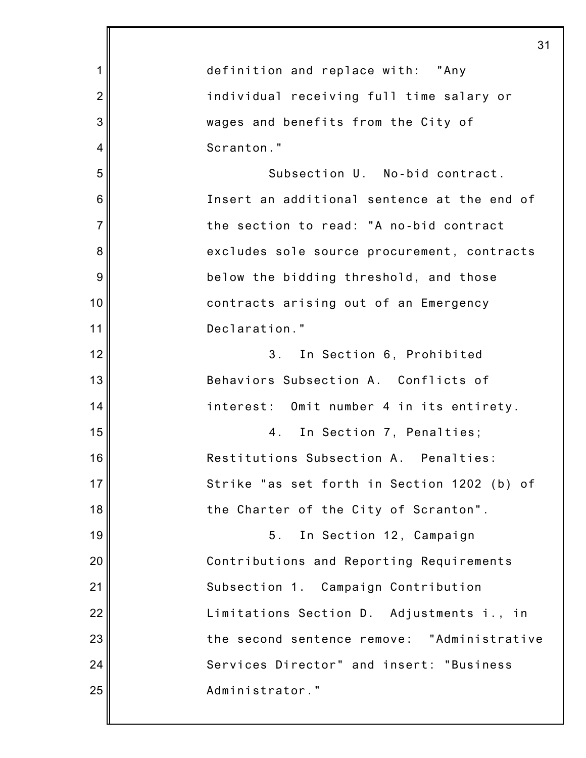|                | 31                                          |
|----------------|---------------------------------------------|
| 1              | definition and replace with: "Any           |
| $\overline{2}$ | individual receiving full time salary or    |
| 3              | wages and benefits from the City of         |
| 4              | Scranton."                                  |
| 5              | Subsection U. No-bid contract.              |
| 6              | Insert an additional sentence at the end of |
| $\overline{7}$ | the section to read: "A no-bid contract     |
| 8              | excludes sole source procurement, contracts |
| 9              | below the bidding threshold, and those      |
| 10             | contracts arising out of an Emergency       |
| 11             | Declaration."                               |
| 12             | In Section 6, Prohibited<br>3 <sub>1</sub>  |
| 13             | Behaviors Subsection A. Conflicts of        |
| 14             | interest: Omit number 4 in its entirety.    |
| 15             | In Section 7, Penalties;<br>4.              |
| 16             | Restitutions Subsection A. Penalties:       |
| 17             | Strike "as set forth in Section 1202 (b) of |
| 18             | the Charter of the City of Scranton".       |
| 19             | 5 <sub>1</sub><br>In Section 12, Campaign   |
| 20             | Contributions and Reporting Requirements    |
| 21             | Subsection 1. Campaign Contribution         |
| 22             | Limitations Section D. Adjustments i., in   |
| 23             | the second sentence remove: "Administrative |
| 24             | Services Director" and insert: "Business    |
| 25             | Administrator."                             |
|                |                                             |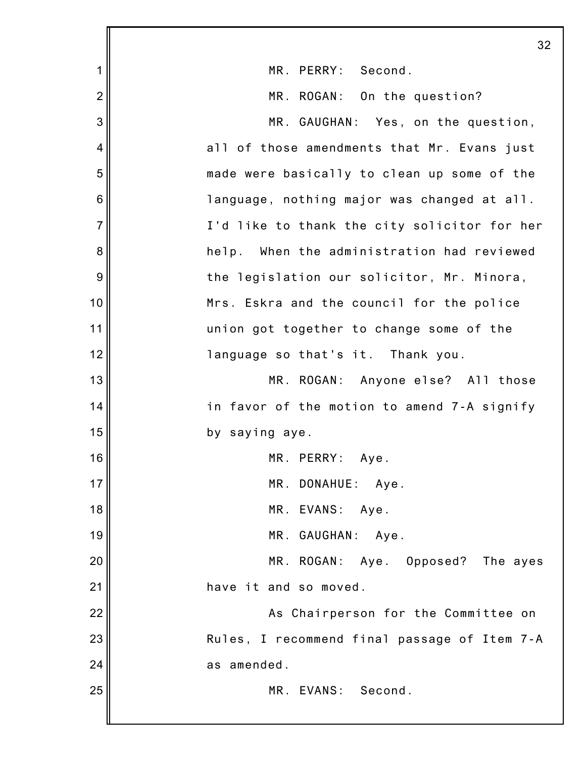|                | 32                                            |
|----------------|-----------------------------------------------|
| 1              | MR. PERRY: Second.                            |
| $\overline{2}$ | MR. ROGAN: On the question?                   |
| 3              | MR. GAUGHAN: Yes, on the question,            |
| 4              | all of those amendments that Mr. Evans just   |
| 5              | made were basically to clean up some of the   |
| 6              | language, nothing major was changed at all.   |
| $\overline{7}$ | I'd like to thank the city solicitor for her  |
| 8              | When the administration had reviewed<br>help. |
| 9              | the legislation our solicitor, Mr. Minora,    |
| 10             | Mrs. Eskra and the council for the police     |
| 11             | union got together to change some of the      |
| 12             | language so that's it. Thank you.             |
| 13             | MR. ROGAN: Anyone else? All those             |
| 14             | in favor of the motion to amend 7-A signify   |
| 15             | by saying aye.                                |
| 16             | MR. PERRY: Aye.                               |
| 17             | MR. DONAHUE: Aye.                             |
| 18             | MR. EVANS: Aye.                               |
| 19             | MR. GAUGHAN: Aye.                             |
| 20             | MR. ROGAN: Aye. Opposed? The ayes             |
| 21             | have it and so moved.                         |
| 22             | As Chairperson for the Committee on           |
| 23             | Rules, I recommend final passage of Item 7-A  |
| 24             | as amended.                                   |
| 25             | MR. EVANS: Second.                            |
|                |                                               |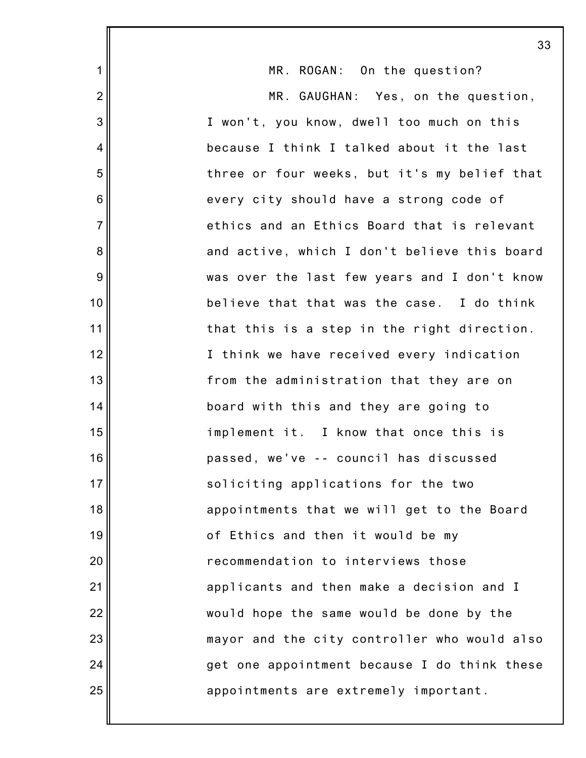|                | 33                                           |
|----------------|----------------------------------------------|
| $\mathbf 1$    | MR. ROGAN: On the question?                  |
| $\overline{2}$ | MR. GAUGHAN: Yes, on the question,           |
| 3              | I won't, you know, dwell too much on this    |
| $\overline{4}$ | because I think I talked about it the last   |
| 5              | three or four weeks, but it's my belief that |
| 6              | every city should have a strong code of      |
| $\overline{7}$ | ethics and an Ethics Board that is relevant  |
| 8              | and active, which I don't believe this board |
| 9              | was over the last few years and I don't know |
| 10             | believe that that was the case. I do think   |
| 11             | that this is a step in the right direction.  |
| 12             | I think we have received every indication    |
| 13             | from the administration that they are on     |
| 14             | board with this and they are going to        |
| 15             | implement it. I know that once this is       |
| 16             | passed, we've -- council has discussed       |
| 17             | soliciting applications for the two          |
| 18             | appointments that we will get to the Board   |
| 19             | of Ethics and then it would be my            |
| 20             | recommendation to interviews those           |
| 21             | applicants and then make a decision and I    |
| 22             | would hope the same would be done by the     |
| 23             | mayor and the city controller who would also |
| 24             | get one appointment because I do think these |
| 25             | appointments are extremely important.        |
|                |                                              |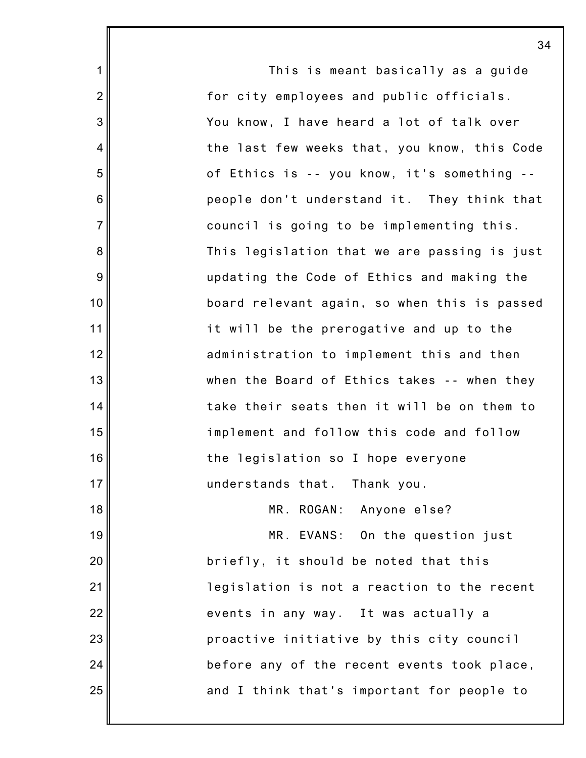|                  | 3 <sub>1</sub>                               |
|------------------|----------------------------------------------|
| 1                | This is meant basically as a guide           |
| $\overline{2}$   | for city employees and public officials.     |
| $\mathsf 3$      | You know, I have heard a lot of talk over    |
| $\overline{4}$   | the last few weeks that, you know, this Code |
| $\mathbf 5$      | of Ethics is -- you know, it's something --  |
| $\,6$            | people don't understand it. They think that  |
| $\overline{7}$   | council is going to be implementing this.    |
| 8                | This legislation that we are passing is just |
| $\boldsymbol{9}$ | updating the Code of Ethics and making the   |
| 10               | board relevant again, so when this is passed |
| 11               | it will be the prerogative and up to the     |
| 12               | administration to implement this and then    |
| 13               | when the Board of Ethics takes -- when they  |
| 14               | take their seats then it will be on them to  |
| 15               | implement and follow this code and follow    |
| 16               | the legislation so I hope everyone           |
| 17               | understands that. Thank you.                 |
| 18               | MR. ROGAN: Anyone else?                      |
| 19               | MR. EVANS: On the question just              |
| 20               | briefly, it should be noted that this        |
| 21               | legislation is not a reaction to the recent  |
| 22               | events in any way. It was actually a         |
| 23               | proactive initiative by this city council    |
| 24               | before any of the recent events took place,  |
| 25               | and I think that's important for people to   |
|                  |                                              |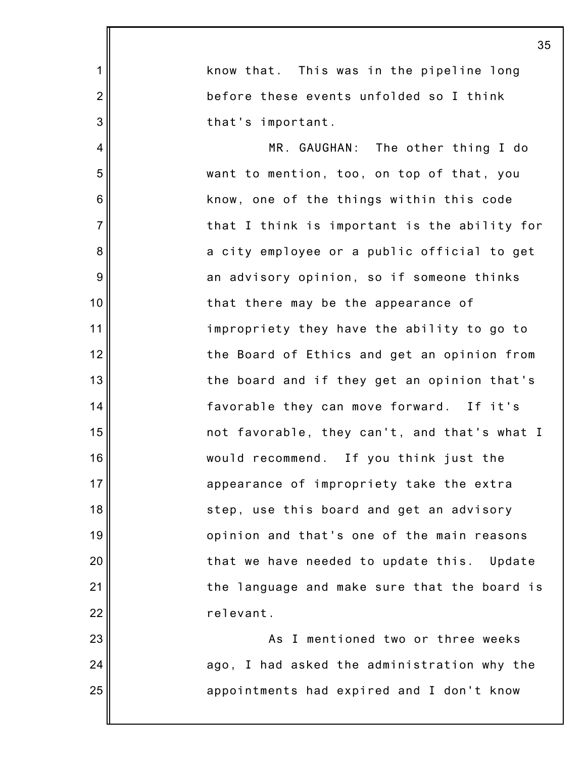|                | 35                                           |
|----------------|----------------------------------------------|
| 1              | know that. This was in the pipeline long     |
| $\overline{2}$ | before these events unfolded so I think      |
| 3              | that's important.                            |
| $\overline{4}$ | MR. GAUGHAN: The other thing I do            |
| 5              | want to mention, too, on top of that, you    |
| 6              | know, one of the things within this code     |
| $\overline{7}$ | that I think is important is the ability for |
| 8              | a city employee or a public official to get  |
| 9              | an advisory opinion, so if someone thinks    |
| 10             | that there may be the appearance of          |
| 11             | impropriety they have the ability to go to   |
| 12             | the Board of Ethics and get an opinion from  |
| 13             | the board and if they get an opinion that's  |
| 14             | favorable they can move forward. If it's     |
| 15             | not favorable, they can't, and that's what I |
| 16             | would recommend. If you think just the       |
| 17             | appearance of impropriety take the extra     |
| 18             | step, use this board and get an advisory     |
| 19             | opinion and that's one of the main reasons   |
| 20             | that we have needed to update this. Update   |
| 21             | the language and make sure that the board is |
| 22             | relevant.                                    |
| 23             | As I mentioned two or three weeks            |
| 24             | ago, I had asked the administration why the  |
| 25             | appointments had expired and I don't know    |
|                |                                              |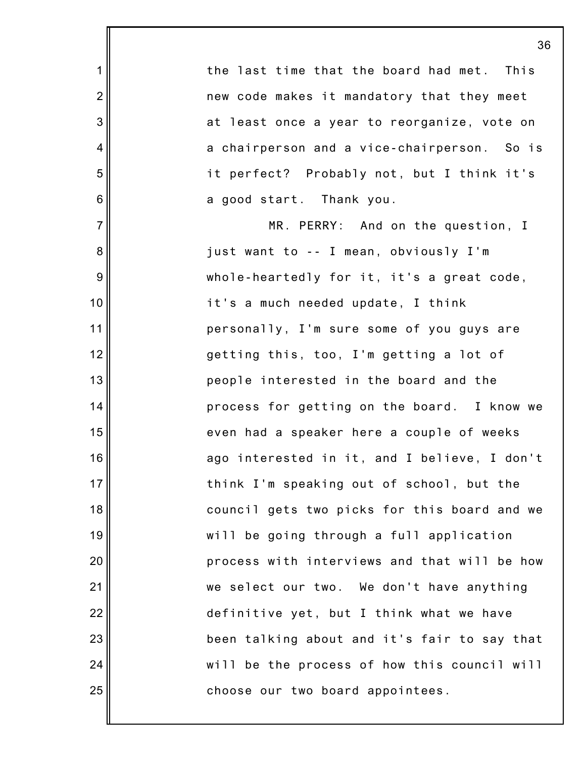the last time that the board had met. This new code makes it mandatory that they meet at least once a year to reorganize, vote on a chairperson and a vice-chairperson. So is it perfect? Probably not, but I think it's a good start. Thank you.

1

2

3

4

5

6

7

8

9

10

11

12

13

14

15

16

17

18

19

20

21

22

23

24

25

MR. PERRY: And on the question, I just want to -- I mean, obviously I'm whole-heartedly for it, it's a great code, it's a much needed update, I think personally, I'm sure some of you guys are getting this, too, I'm getting a lot of people interested in the board and the process for getting on the board. I know we even had a speaker here a couple of weeks ago interested in it, and I believe, I don't think I'm speaking out of school, but the council gets two picks for this board and we will be going through a full application process with interviews and that will be how we select our two. We don't have anything definitive yet, but I think what we have been talking about and it's fair to say that will be the process of how this council will choose our two board appointees.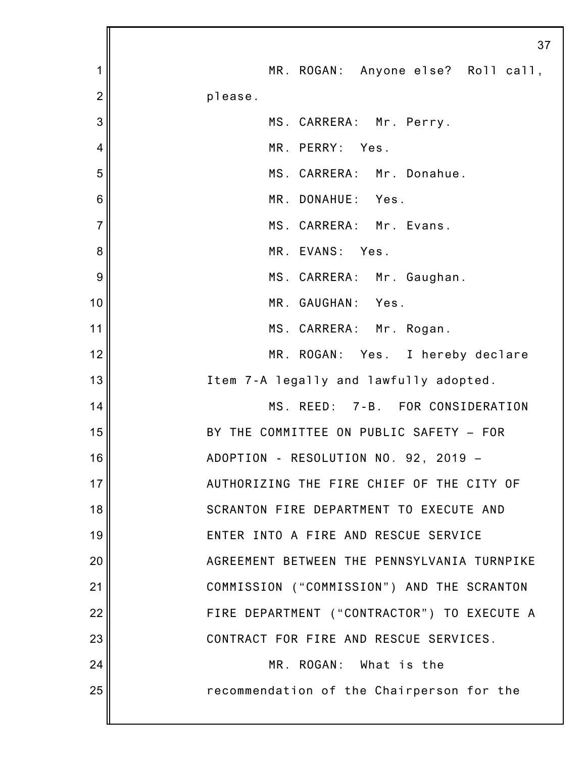|                | 37                                          |
|----------------|---------------------------------------------|
| 1              | MR. ROGAN: Anyone else? Roll call,          |
| $\overline{2}$ | please.                                     |
| 3              | MS. CARRERA: Mr. Perry.                     |
| $\overline{4}$ | MR. PERRY: Yes.                             |
| 5              | MS. CARRERA: Mr. Donahue.                   |
| 6              | MR. DONAHUE: Yes.                           |
| $\overline{7}$ | MS. CARRERA: Mr. Evans.                     |
| 8              | MR. EVANS: Yes.                             |
| 9              | MS. CARRERA: Mr. Gaughan.                   |
| 10             | MR. GAUGHAN: Yes.                           |
| 11             | MS. CARRERA: Mr. Rogan.                     |
| 12             | MR. ROGAN: Yes. I hereby declare            |
| 13             | Item 7-A legally and lawfully adopted.      |
| 14             | MS. REED: 7-B. FOR CONSIDERATION            |
| 15             | BY THE COMMITTEE ON PUBLIC SAFETY - FOR     |
| 16             | ADOPTION - RESOLUTION NO. 92, 2019 -        |
| 17             | AUTHORIZING THE FIRE CHIEF OF THE CITY OF   |
| 18             | SCRANTON FIRE DEPARTMENT TO EXECUTE AND     |
| 19             | ENTER INTO A FIRE AND RESCUE SERVICE        |
| 20             | AGREEMENT BETWEEN THE PENNSYLVANIA TURNPIKE |
| 21             | COMMISSION ("COMMISSION") AND THE SCRANTON  |
| 22             | FIRE DEPARTMENT ("CONTRACTOR") TO EXECUTE A |
| 23             | CONTRACT FOR FIRE AND RESCUE SERVICES.      |
| 24             | MR. ROGAN: What is the                      |
| 25             | recommendation of the Chairperson for the   |
|                |                                             |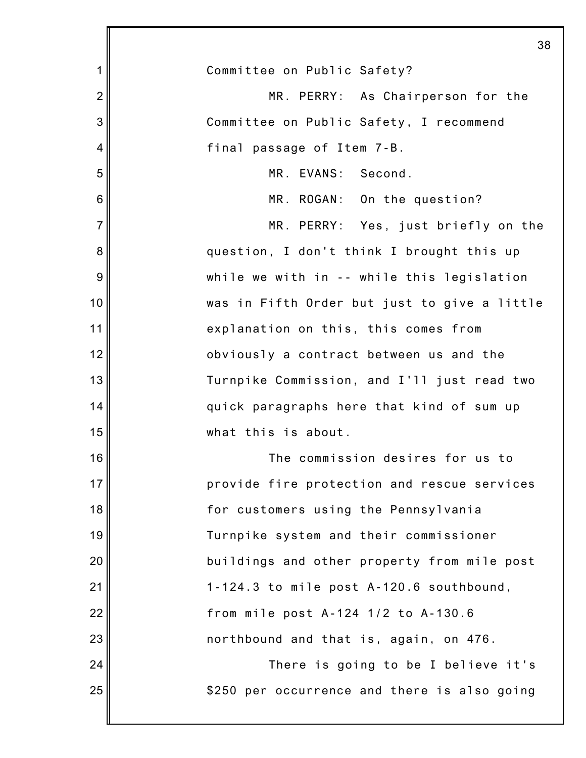|                 | 38                                           |
|-----------------|----------------------------------------------|
| 1               | Committee on Public Safety?                  |
| $\overline{2}$  | MR. PERRY: As Chairperson for the            |
| 3               | Committee on Public Safety, I recommend      |
| 4               | final passage of Item 7-B.                   |
| 5               | MR. EVANS: Second.                           |
| $6\phantom{1}6$ | MR. ROGAN: On the question?                  |
| $\overline{7}$  | MR. PERRY: Yes, just briefly on the          |
| 8               | question, I don't think I brought this up    |
| 9               | while we with in -- while this legislation   |
| 10              | was in Fifth Order but just to give a little |
| 11              | explanation on this, this comes from         |
| 12              | obviously a contract between us and the      |
| 13              | Turnpike Commission, and I'll just read two  |
| 14              | quick paragraphs here that kind of sum up    |
| 15              | what this is about.                          |
| 16              | The commission desires for us to             |
| 17              | provide fire protection and rescue services  |
| 18              | for customers using the Pennsylvania         |
| 19              | Turnpike system and their commissioner       |
| 20              | buildings and other property from mile post  |
| 21              | 1-124.3 to mile post A-120.6 southbound,     |
| 22              | from mile post A-124 1/2 to A-130.6          |
| 23              | northbound and that is, again, on 476.       |
| 24              | There is going to be I believe it's          |
| 25              | \$250 per occurrence and there is also going |
|                 |                                              |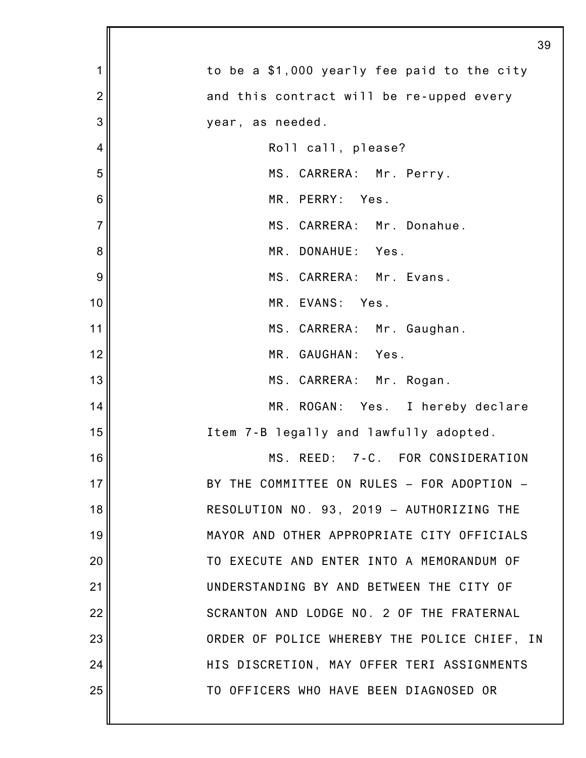|                | 39                                           |
|----------------|----------------------------------------------|
| 1              | to be a \$1,000 yearly fee paid to the city  |
| $\overline{c}$ | and this contract will be re-upped every     |
| 3              | year, as needed.                             |
| 4              | Roll call, please?                           |
| 5              | MS. CARRERA: Mr. Perry.                      |
| 6              | MR. PERRY: Yes.                              |
| $\overline{7}$ | MS. CARRERA: Mr. Donahue.                    |
| 8              | MR. DONAHUE: Yes.                            |
| 9              | MS. CARRERA: Mr. Evans.                      |
| 10             | MR. EVANS: Yes.                              |
| 11             | MS. CARRERA: Mr. Gaughan.                    |
| 12             | MR. GAUGHAN: Yes.                            |
| 13             | MS. CARRERA: Mr. Rogan.                      |
| 14             | MR. ROGAN: Yes. I hereby declare             |
| 15             | Item 7-B legally and lawfully adopted.       |
| 16             | MS. REED: 7-C. FOR CONSIDERATION             |
| 17             | BY THE COMMITTEE ON RULES - FOR ADOPTION -   |
| 18             | RESOLUTION NO. 93, 2019 - AUTHORIZING THE    |
| 19             | MAYOR AND OTHER APPROPRIATE CITY OFFICIALS   |
| 20             | TO EXECUTE AND ENTER INTO A MEMORANDUM OF    |
| 21             | UNDERSTANDING BY AND BETWEEN THE CITY OF     |
| 22             | SCRANTON AND LODGE NO. 2 OF THE FRATERNAL    |
| 23             | ORDER OF POLICE WHEREBY THE POLICE CHIEF, IN |
| 24             | HIS DISCRETION, MAY OFFER TERI ASSIGNMENTS   |
| 25             | TO OFFICERS WHO HAVE BEEN DIAGNOSED OR       |
|                |                                              |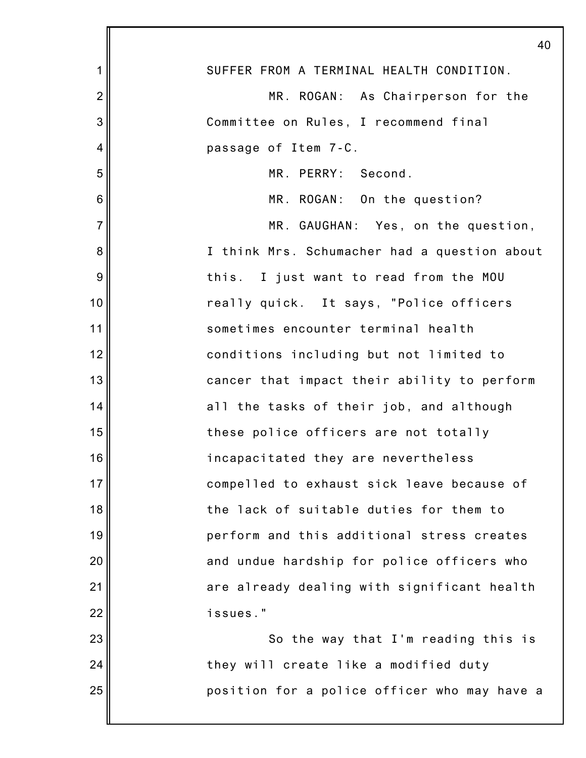|                 | $\overline{4}$                               |
|-----------------|----------------------------------------------|
| 1               | SUFFER FROM A TERMINAL HEALTH CONDITION.     |
| $\overline{2}$  | MR. ROGAN: As Chairperson for the            |
| 3               | Committee on Rules, I recommend final        |
| 4               | passage of Item 7-C.                         |
| 5               | MR. PERRY: Second.                           |
| $6\phantom{1}6$ | MR. ROGAN: On the question?                  |
| $\overline{7}$  | MR. GAUGHAN: Yes, on the question,           |
| 8               | I think Mrs. Schumacher had a question about |
| 9               | this. I just want to read from the MOU       |
| 10              | really quick. It says, "Police officers      |
| 11              | sometimes encounter terminal health          |
| 12              | conditions including but not limited to      |
| 13              | cancer that impact their ability to perform  |
| 14              | all the tasks of their job, and although     |
| 15              | these police officers are not totally        |
| 16              | incapacitated they are nevertheless          |
| 17              | compelled to exhaust sick leave because of   |
| 18              | the lack of suitable duties for them to      |
| 19              | perform and this additional stress creates   |
| 20              | and undue hardship for police officers who   |
| 21              | are already dealing with significant health  |
| 22              | issues."                                     |
| 23              | So the way that I'm reading this is          |
| 24              | they will create like a modified duty        |
| 25              | position for a police officer who may have a |
|                 |                                              |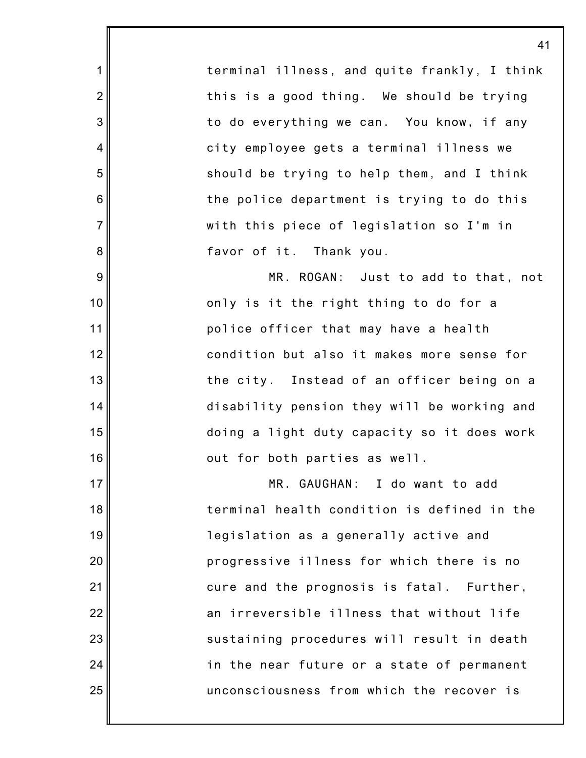terminal illness, and quite frankly, I think this is a good thing. We should be trying to do everything we can. You know, if any city employee gets a terminal illness we should be trying to help them, and I think the police department is trying to do this with this piece of legislation so I'm in favor of it. Thank you.

1

2

3

4

5

6

7

8

9

10

11

12

13

14

15

16

17

18

19

20

21

22

23

24

25

MR. ROGAN: Just to add to that, not only is it the right thing to do for a police officer that may have a health condition but also it makes more sense for the city. Instead of an officer being on a disability pension they will be working and doing a light duty capacity so it does work out for both parties as well.

MR. GAUGHAN: I do want to add terminal health condition is defined in the legislation as a generally active and progressive illness for which there is no cure and the prognosis is fatal. Further, an irreversible illness that without life sustaining procedures will result in death in the near future or a state of permanent unconsciousness from which the recover is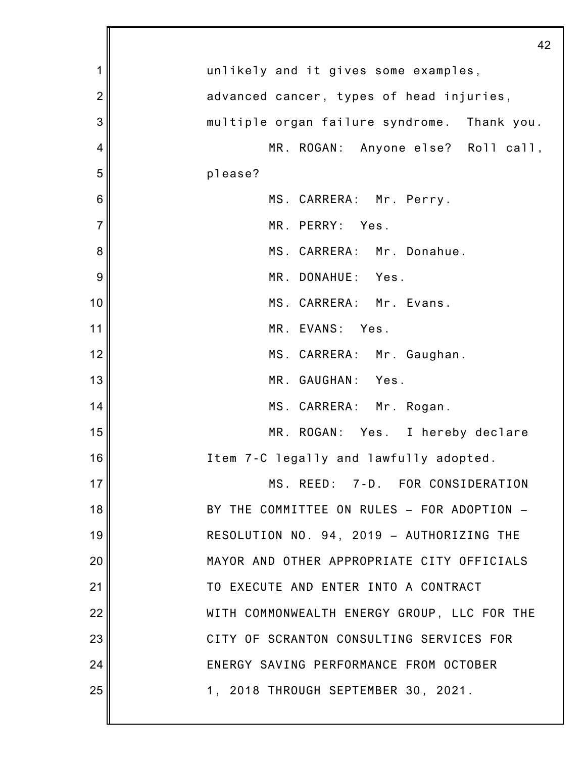|                | 42                                          |
|----------------|---------------------------------------------|
| 1              | unlikely and it gives some examples,        |
| $\overline{2}$ | advanced cancer, types of head injuries,    |
| 3              | multiple organ failure syndrome. Thank you. |
| 4              | MR. ROGAN: Anyone else? Roll call,          |
| 5              | please?                                     |
| 6              | MS. CARRERA: Mr. Perry.                     |
| $\overline{7}$ | MR. PERRY: Yes.                             |
| 8              | MS. CARRERA: Mr. Donahue.                   |
| 9              | MR. DONAHUE: Yes.                           |
| 10             | MS. CARRERA: Mr. Evans.                     |
| 11             | MR. EVANS: Yes.                             |
| 12             | MS. CARRERA: Mr. Gaughan.                   |
| 13             | MR. GAUGHAN:<br>Yes.                        |
| 14             | MS. CARRERA: Mr. Rogan.                     |
| 15             | MR. ROGAN: Yes. I hereby declare            |
| 16             | Item 7-C legally and lawfully adopted.      |
| 17             | MS. REED: 7-D. FOR CONSIDERATION            |
| 18             | BY THE COMMITTEE ON RULES - FOR ADOPTION -  |
| 19             | RESOLUTION NO. 94, 2019 - AUTHORIZING THE   |
| 20             | MAYOR AND OTHER APPROPRIATE CITY OFFICIALS  |
| 21             | TO EXECUTE AND ENTER INTO A CONTRACT        |
| 22             | WITH COMMONWEALTH ENERGY GROUP, LLC FOR THE |
| 23             | CITY OF SCRANTON CONSULTING SERVICES FOR    |
| 24             | ENERGY SAVING PERFORMANCE FROM OCTOBER      |
| 25             | 1, 2018 THROUGH SEPTEMBER 30, 2021.         |
|                |                                             |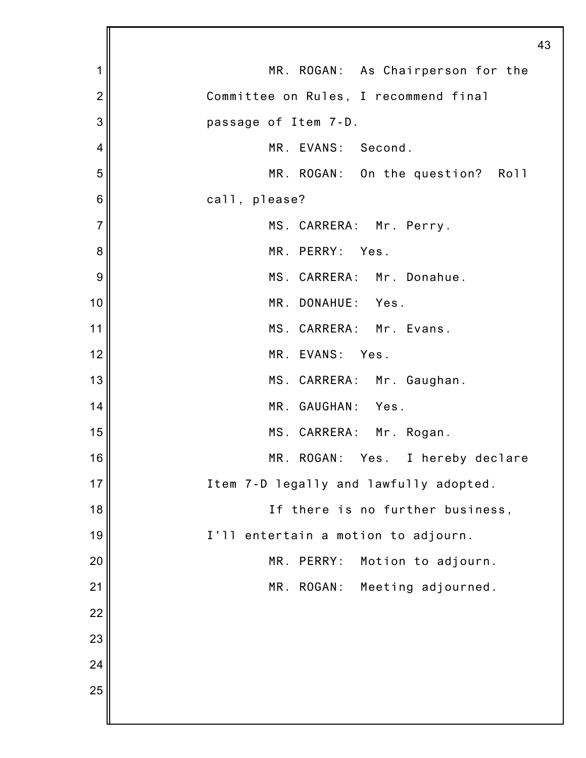|                | 43                                     |
|----------------|----------------------------------------|
| 1              | MR. ROGAN: As Chairperson for the      |
| $\overline{2}$ | Committee on Rules, I recommend final  |
| 3              | passage of Item 7-D.                   |
| 4              | MR. EVANS: Second.                     |
| 5              | MR. ROGAN: On the question? Roll       |
| 6              | call, please?                          |
| $\overline{7}$ | MS. CARRERA: Mr. Perry.                |
| 8              | MR. PERRY: Yes.                        |
| 9              | MS. CARRERA: Mr. Donahue.              |
| 10             | MR. DONAHUE: Yes.                      |
| 11             | MS. CARRERA: Mr. Evans.                |
| 12             | MR. EVANS: Yes.                        |
| 13             | MS. CARRERA: Mr. Gaughan.              |
| 14             | MR. GAUGHAN: Yes.                      |
| 15             | MS. CARRERA: Mr. Rogan.                |
| 16             | MR. ROGAN: Yes. I hereby declare       |
| 17             | Item 7-D legally and lawfully adopted. |
| 18             | If there is no further business,       |
| 19             | I'll entertain a motion to adjourn.    |
| 20             | MR.<br>PERRY:<br>Motion to adjourn.    |
| 21             | MR.<br>ROGAN:<br>Meeting adjourned.    |
| 22             |                                        |
| 23             |                                        |
| 24             |                                        |
| 25             |                                        |
|                |                                        |